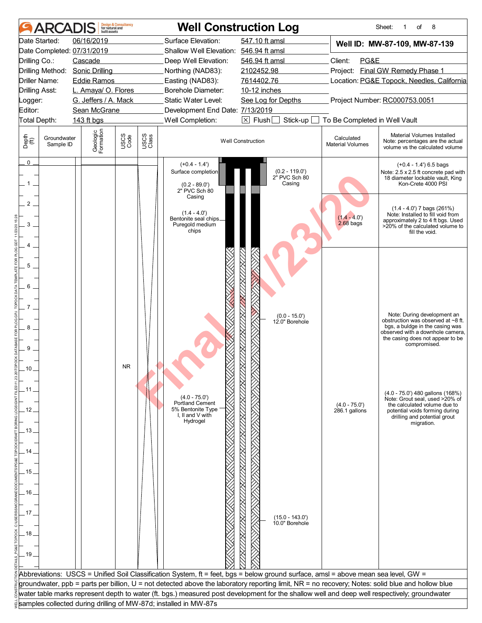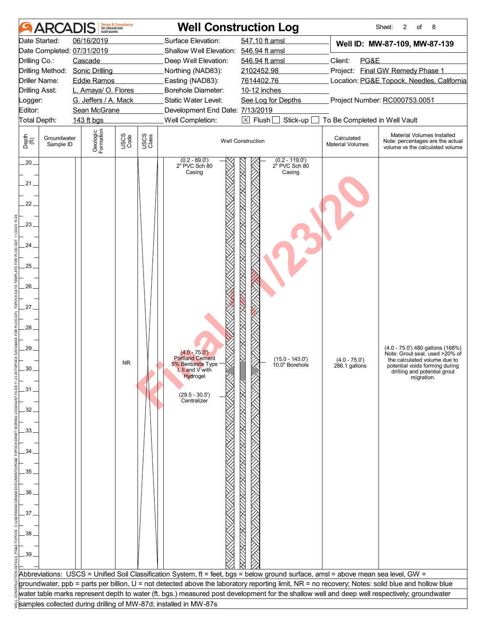|                       | <b>ARCA</b>              | built assets                    | <b>Design &amp; Consultancy</b><br>for natural and |               |                                                                  | <b>Well Construction Log</b>                                                                                                                     |                                       | 2<br>8<br>Sheet:<br>of                                                                            |
|-----------------------|--------------------------|---------------------------------|----------------------------------------------------|---------------|------------------------------------------------------------------|--------------------------------------------------------------------------------------------------------------------------------------------------|---------------------------------------|---------------------------------------------------------------------------------------------------|
|                       | Date Started:            | 06/16/2019                      |                                                    |               | Surface Elevation:                                               | 547.10 ft amsl                                                                                                                                   |                                       | Well ID: MW-87-109, MW-87-139                                                                     |
|                       |                          | Date Completed: 07/31/2019      |                                                    |               | Shallow Well Elevation: 546.94 ft amsl                           |                                                                                                                                                  |                                       |                                                                                                   |
| Drilling Co.:         |                          | Cascade                         |                                                    |               | Deep Well Elevation:                                             | 546.94 ft amsl                                                                                                                                   | Client:<br>PG&E                       |                                                                                                   |
|                       |                          | Drilling Method: Sonic Drilling |                                                    |               | Northing (NAD83):                                                | 2102452.98                                                                                                                                       |                                       | Project: Final GW Remedy Phase 1                                                                  |
| Driller Name:         |                          | <b>Eddie Ramos</b>              |                                                    |               | Easting (NAD83):                                                 | 7614402.76                                                                                                                                       |                                       | Location: PG&E Topock, Needles, California                                                        |
| <b>Drilling Asst:</b> |                          | L. Amaya/ O. Flores             |                                                    |               | <b>Borehole Diameter:</b>                                        | 10-12 inches                                                                                                                                     |                                       |                                                                                                   |
| Logger:               |                          | G. Jeffers / A. Mack            |                                                    |               | Static Water Level:                                              | See Log for Depths                                                                                                                               |                                       | Project Number: RC000753.0051                                                                     |
| Editor:               |                          | Sean McGrane                    |                                                    |               | Development End Date: 7/13/2019                                  |                                                                                                                                                  |                                       |                                                                                                   |
| Total Depth:          |                          | 143 ft bgs                      |                                                    |               | Well Completion:                                                 | $\boxtimes$ Flush $\Box$<br>Stick-up                                                                                                             | To Be Completed in Well Vault         |                                                                                                   |
| Depth<br>(ff)         | Groundwater<br>Sample ID | Geologic<br>Formation           | USCS<br>Code                                       | USCS<br>Class |                                                                  | <b>Well Construction</b>                                                                                                                         | Calculated<br><b>Material Volumes</b> | Material Volumes Installed<br>Note: percentages are the actual<br>volume vs the calculated volume |
| $.20 -$<br>$21_{-}$   |                          |                                 |                                                    |               | $(0.2 - 89.0')$<br>2" PVC Sch 80<br>Casing                       | $(0.2 - 119.0)$<br>2 <sup>t</sup> PVC Sch 80<br>Casing                                                                                           |                                       |                                                                                                   |
| $22_{-}$              |                          |                                 |                                                    |               |                                                                  |                                                                                                                                                  |                                       |                                                                                                   |
| 23                    |                          |                                 |                                                    |               |                                                                  |                                                                                                                                                  |                                       |                                                                                                   |
| 24.                   |                          |                                 |                                                    |               |                                                                  |                                                                                                                                                  |                                       |                                                                                                   |
| 25                    |                          |                                 |                                                    |               |                                                                  |                                                                                                                                                  |                                       |                                                                                                   |
| 26                    |                          |                                 |                                                    |               |                                                                  |                                                                                                                                                  |                                       |                                                                                                   |
| $27 -$                |                          |                                 |                                                    |               |                                                                  |                                                                                                                                                  |                                       |                                                                                                   |
| 28                    |                          |                                 |                                                    |               |                                                                  |                                                                                                                                                  |                                       |                                                                                                   |
| 29                    |                          |                                 |                                                    |               | $(4.0 - 75.0')$<br><b>Portland Cement</b>                        |                                                                                                                                                  |                                       | (4.0 - 75.0') 480 gallons (168%)<br>Note: Grout seal, used >20% of                                |
|                       |                          |                                 | <b>NR</b>                                          |               | 5% Bentonite Type                                                | $(15.0 - 143.0)$<br>10.0" Borehole                                                                                                               | $(4.0 - 75.0')$<br>286.1 gallons      | the calculated volume due to<br>potential voids forming during                                    |
|                       |                          |                                 |                                                    |               | <b>I, II and V with</b><br>Hydrogel                              |                                                                                                                                                  |                                       | drilling and potential grout<br>migration.                                                        |
| .31 <sub>1</sub>      |                          |                                 |                                                    |               |                                                                  |                                                                                                                                                  |                                       |                                                                                                   |
|                       |                          |                                 |                                                    |               | $(29.5 - 30.5')$                                                 |                                                                                                                                                  |                                       |                                                                                                   |
| 32                    |                          |                                 |                                                    |               | Centralizer                                                      |                                                                                                                                                  |                                       |                                                                                                   |
|                       |                          |                                 |                                                    |               |                                                                  |                                                                                                                                                  |                                       |                                                                                                   |
|                       |                          |                                 |                                                    |               |                                                                  |                                                                                                                                                  |                                       |                                                                                                   |
| 33                    |                          |                                 |                                                    |               |                                                                  |                                                                                                                                                  |                                       |                                                                                                   |
| 34                    |                          |                                 |                                                    |               |                                                                  |                                                                                                                                                  |                                       |                                                                                                   |
|                       |                          |                                 |                                                    |               |                                                                  |                                                                                                                                                  |                                       |                                                                                                   |
| 35.                   |                          |                                 |                                                    |               |                                                                  |                                                                                                                                                  |                                       |                                                                                                   |
|                       |                          |                                 |                                                    |               |                                                                  |                                                                                                                                                  |                                       |                                                                                                   |
| 36                    |                          |                                 |                                                    |               |                                                                  |                                                                                                                                                  |                                       |                                                                                                   |
|                       |                          |                                 |                                                    |               |                                                                  |                                                                                                                                                  |                                       |                                                                                                   |
| 37                    |                          |                                 |                                                    |               |                                                                  |                                                                                                                                                  |                                       |                                                                                                   |
|                       |                          |                                 |                                                    |               |                                                                  |                                                                                                                                                  |                                       |                                                                                                   |
| 38                    |                          |                                 |                                                    |               |                                                                  |                                                                                                                                                  |                                       |                                                                                                   |
|                       |                          |                                 |                                                    |               |                                                                  |                                                                                                                                                  |                                       |                                                                                                   |
| 39                    |                          |                                 |                                                    |               |                                                                  |                                                                                                                                                  |                                       |                                                                                                   |
|                       |                          |                                 |                                                    |               |                                                                  |                                                                                                                                                  |                                       |                                                                                                   |
|                       |                          |                                 |                                                    |               |                                                                  | Abbreviations: USCS = Unified Soil Classification System, ft = feet, bgs = below ground surface, amsl = above mean sea level, GW =               |                                       |                                                                                                   |
|                       |                          |                                 |                                                    |               |                                                                  | groundwater, ppb = parts per billion, U = not detected above the laboratory reporting limit, NR = no recovery; Notes: solid blue and hollow blue |                                       |                                                                                                   |
|                       |                          |                                 |                                                    |               |                                                                  | water table marks represent depth to water (ft. bgs.) measured post development for the shallow well and deep well respectively; groundwater     |                                       |                                                                                                   |
|                       |                          |                                 |                                                    |               | samples collected during drilling of MW-87d; installed in MW-87s |                                                                                                                                                  |                                       |                                                                                                   |
|                       |                          |                                 |                                                    |               |                                                                  |                                                                                                                                                  |                                       |                                                                                                   |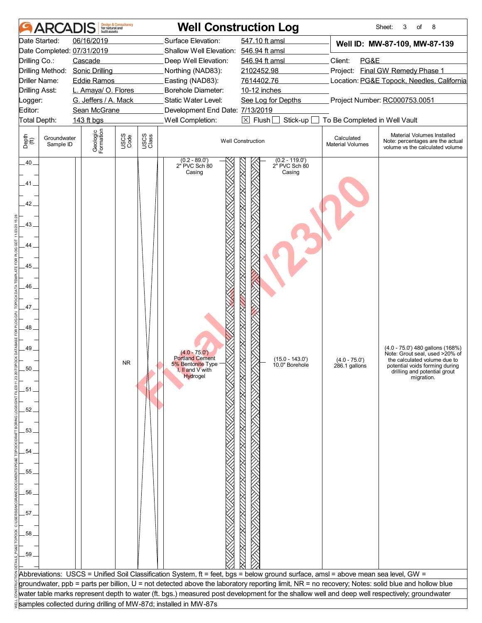|                       | <b>ARCA</b>              | built assets                    | <b>Design &amp; Consultancy</b><br>for natural and |               |                                                                  | <b>Well Construction Log</b>                                                                                                                     |                                       | 8<br>Sheet:<br>3<br>of                                                                            |
|-----------------------|--------------------------|---------------------------------|----------------------------------------------------|---------------|------------------------------------------------------------------|--------------------------------------------------------------------------------------------------------------------------------------------------|---------------------------------------|---------------------------------------------------------------------------------------------------|
|                       | Date Started:            | 06/16/2019                      |                                                    |               | Surface Elevation:                                               | 547.10 ft amsl                                                                                                                                   |                                       | Well ID: MW-87-109, MW-87-139                                                                     |
|                       |                          | Date Completed: 07/31/2019      |                                                    |               | Shallow Well Elevation: 546.94 ft amsl                           |                                                                                                                                                  |                                       |                                                                                                   |
| Drilling Co.:         |                          | Cascade                         |                                                    |               | Deep Well Elevation:                                             | 546.94 ft amsl                                                                                                                                   | Client:<br>PG&E                       |                                                                                                   |
|                       |                          | Drilling Method: Sonic Drilling |                                                    |               | Northing (NAD83):                                                | 2102452.98                                                                                                                                       |                                       | Project: Final GW Remedy Phase 1                                                                  |
| Driller Name:         |                          | <b>Eddie Ramos</b>              |                                                    |               | Easting (NAD83):                                                 | 7614402.76                                                                                                                                       |                                       | Location: PG&E Topock, Needles, California                                                        |
| <b>Drilling Asst:</b> |                          | L. Amaya/ O. Flores             |                                                    |               | Borehole Diameter:                                               | 10-12 inches                                                                                                                                     |                                       |                                                                                                   |
| Logger:               |                          | G. Jeffers / A. Mack            |                                                    |               | Static Water Level:                                              | See Log for Depths                                                                                                                               |                                       | Project Number: RC000753.0051                                                                     |
| Editor:               |                          | Sean McGrane                    |                                                    |               | Development End Date: 7/13/2019                                  |                                                                                                                                                  |                                       |                                                                                                   |
| Total Depth:          |                          | 143 ft bgs                      |                                                    |               | Well Completion:                                                 | $\boxtimes$ Flush $\Box$<br>Stick-up                                                                                                             | To Be Completed in Well Vault         |                                                                                                   |
| Depth<br>(ff)         | Groundwater<br>Sample ID | Geologic<br>Formation           | USCS<br>Code                                       | USCS<br>Class |                                                                  | <b>Well Construction</b>                                                                                                                         | Calculated<br><b>Material Volumes</b> | Material Volumes Installed<br>Note: percentages are the actual<br>volume vs the calculated volume |
| $.40 -$               |                          |                                 |                                                    |               | $(0.2 - 89.0')$<br>2" PVC Sch 80<br>Casing                       | $(0.2 - 119.0)$<br>2 <sup>t</sup> PVC Sch 80<br>Casing                                                                                           |                                       |                                                                                                   |
| $41 -$                |                          |                                 |                                                    |               |                                                                  |                                                                                                                                                  |                                       |                                                                                                   |
|                       |                          |                                 |                                                    |               |                                                                  |                                                                                                                                                  |                                       |                                                                                                   |
| 42.                   |                          |                                 |                                                    |               |                                                                  |                                                                                                                                                  |                                       |                                                                                                   |
| 43                    |                          |                                 |                                                    |               |                                                                  |                                                                                                                                                  |                                       |                                                                                                   |
| 44                    |                          |                                 |                                                    |               |                                                                  |                                                                                                                                                  |                                       |                                                                                                   |
|                       |                          |                                 |                                                    |               |                                                                  |                                                                                                                                                  |                                       |                                                                                                   |
| 45                    |                          |                                 |                                                    |               |                                                                  |                                                                                                                                                  |                                       |                                                                                                   |
|                       |                          |                                 |                                                    |               |                                                                  |                                                                                                                                                  |                                       |                                                                                                   |
| 46                    |                          |                                 |                                                    |               |                                                                  |                                                                                                                                                  |                                       |                                                                                                   |
| 47_                   |                          |                                 |                                                    |               |                                                                  |                                                                                                                                                  |                                       |                                                                                                   |
|                       |                          |                                 |                                                    |               |                                                                  |                                                                                                                                                  |                                       |                                                                                                   |
| 48                    |                          |                                 |                                                    |               |                                                                  |                                                                                                                                                  |                                       |                                                                                                   |
| 49                    |                          |                                 |                                                    |               | $(4.0 - 75.0')$                                                  |                                                                                                                                                  |                                       | (4.0 - 75.0') 480 gallons (168%)                                                                  |
|                       |                          |                                 | <b>NR</b>                                          |               | <b>Portland Cement</b><br>5% Bentonite Type                      | $(15.0 - 143.0)$<br>10.0" Borehole                                                                                                               | $(4.0 - 75.0')$                       | Note: Grout seal, used >20% of<br>the calculated volume due to                                    |
|                       |                          |                                 |                                                    |               | <b>I, II and V with</b><br>Hydrogel                              |                                                                                                                                                  | 286.1 gallons                         | potential voids forming during<br>drilling and potential grout<br>migration.                      |
| .51.                  |                          |                                 |                                                    |               |                                                                  |                                                                                                                                                  |                                       |                                                                                                   |
|                       |                          |                                 |                                                    |               |                                                                  |                                                                                                                                                  |                                       |                                                                                                   |
| 52                    |                          |                                 |                                                    |               |                                                                  |                                                                                                                                                  |                                       |                                                                                                   |
|                       |                          |                                 |                                                    |               |                                                                  |                                                                                                                                                  |                                       |                                                                                                   |
| 53                    |                          |                                 |                                                    |               |                                                                  |                                                                                                                                                  |                                       |                                                                                                   |
|                       |                          |                                 |                                                    |               |                                                                  |                                                                                                                                                  |                                       |                                                                                                   |
| 54                    |                          |                                 |                                                    |               |                                                                  |                                                                                                                                                  |                                       |                                                                                                   |
|                       |                          |                                 |                                                    |               |                                                                  |                                                                                                                                                  |                                       |                                                                                                   |
| 55.                   |                          |                                 |                                                    |               |                                                                  |                                                                                                                                                  |                                       |                                                                                                   |
|                       |                          |                                 |                                                    |               |                                                                  |                                                                                                                                                  |                                       |                                                                                                   |
| 56                    |                          |                                 |                                                    |               |                                                                  |                                                                                                                                                  |                                       |                                                                                                   |
|                       |                          |                                 |                                                    |               |                                                                  |                                                                                                                                                  |                                       |                                                                                                   |
| 57                    |                          |                                 |                                                    |               |                                                                  |                                                                                                                                                  |                                       |                                                                                                   |
|                       |                          |                                 |                                                    |               |                                                                  |                                                                                                                                                  |                                       |                                                                                                   |
| 58                    |                          |                                 |                                                    |               |                                                                  |                                                                                                                                                  |                                       |                                                                                                   |
|                       |                          |                                 |                                                    |               |                                                                  |                                                                                                                                                  |                                       |                                                                                                   |
| 59                    |                          |                                 |                                                    |               |                                                                  |                                                                                                                                                  |                                       |                                                                                                   |
|                       |                          |                                 |                                                    |               |                                                                  |                                                                                                                                                  |                                       |                                                                                                   |
|                       |                          |                                 |                                                    |               |                                                                  | Abbreviations: USCS = Unified Soil Classification System, ft = feet, bgs = below ground surface, amsl = above mean sea level, GW =               |                                       |                                                                                                   |
|                       |                          |                                 |                                                    |               |                                                                  | groundwater, ppb = parts per billion, U = not detected above the laboratory reporting limit, NR = no recovery; Notes: solid blue and hollow blue |                                       |                                                                                                   |
|                       |                          |                                 |                                                    |               |                                                                  | water table marks represent depth to water (ft. bgs.) measured post development for the shallow well and deep well respectively; groundwater     |                                       |                                                                                                   |
|                       |                          |                                 |                                                    |               | samples collected during drilling of MW-87d; installed in MW-87s |                                                                                                                                                  |                                       |                                                                                                   |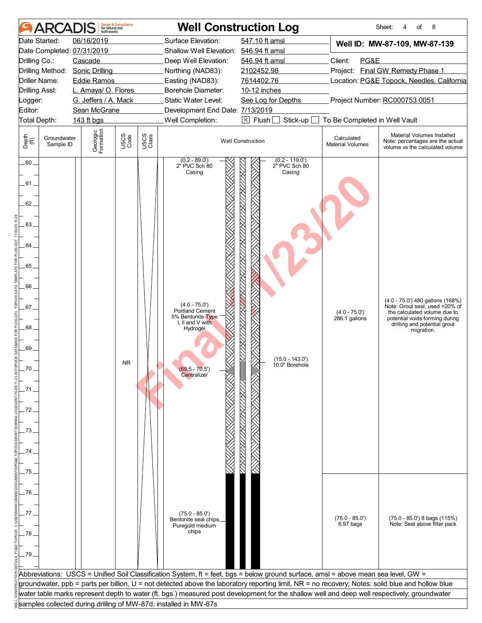|                       |                          | built assets                    | <b>Design &amp; Consultancy</b><br>for natural and |               |                                                                  | <b>Well Construction Log</b>                                                                                                                     |                                       | 8<br>Sheet:<br>4<br>of                                                                                                           |
|-----------------------|--------------------------|---------------------------------|----------------------------------------------------|---------------|------------------------------------------------------------------|--------------------------------------------------------------------------------------------------------------------------------------------------|---------------------------------------|----------------------------------------------------------------------------------------------------------------------------------|
|                       | Date Started:            | 06/16/2019                      |                                                    |               | Surface Elevation:                                               | 547.10 ft amsl                                                                                                                                   |                                       | Well ID: MW-87-109, MW-87-139                                                                                                    |
|                       |                          | Date Completed: 07/31/2019      |                                                    |               | Shallow Well Elevation: 546.94 ft amsl                           |                                                                                                                                                  |                                       |                                                                                                                                  |
| Drilling Co.:         |                          | Cascade                         |                                                    |               | Deep Well Elevation:                                             | 546.94 ft amsl                                                                                                                                   | Client:<br>PG&E                       |                                                                                                                                  |
|                       |                          | Drilling Method: Sonic Drilling |                                                    |               | Northing (NAD83):                                                | 2102452.98                                                                                                                                       |                                       | Project: Final GW Remedy Phase 1                                                                                                 |
|                       | Driller Name:            | <b>Eddie Ramos</b>              |                                                    |               | Easting (NAD83):                                                 | 7614402.76                                                                                                                                       |                                       | Location: PG&E Topock, Needles, California                                                                                       |
| <b>Drilling Asst:</b> |                          | L. Amaya/ O. Flores             |                                                    |               | Borehole Diameter:                                               | 10-12 inches                                                                                                                                     |                                       |                                                                                                                                  |
| Logger:               |                          | G. Jeffers / A. Mack            |                                                    |               | Static Water Level:                                              | See Log for Depths                                                                                                                               |                                       | Project Number: RC000753.0051                                                                                                    |
| Editor:               |                          | Sean McGrane                    |                                                    |               | Development End Date: 7/13/2019                                  |                                                                                                                                                  |                                       |                                                                                                                                  |
| Total Depth:          |                          | 143 ft bgs                      |                                                    |               | Well Completion:                                                 | $\boxtimes$ Flush $\Box$<br>Stick-up                                                                                                             | To Be Completed in Well Vault         |                                                                                                                                  |
| Depth<br>(ff)         | Groundwater<br>Sample ID | Geologic<br>Formation           | USCS<br>Code                                       | USCS<br>Class |                                                                  | <b>Well Construction</b>                                                                                                                         | Calculated<br><b>Material Volumes</b> | Material Volumes Installed<br>Note: percentages are the actual<br>volume vs the calculated volume                                |
| $.60 -$<br>.61.       |                          |                                 |                                                    |               | $(0.2 - 89.0')$<br>2" PVC Sch 80<br>Casing                       | $(0.2 - 119.0')$<br>2" PVC Sch 80<br>Casing                                                                                                      |                                       |                                                                                                                                  |
| $62 -$                |                          |                                 |                                                    |               |                                                                  |                                                                                                                                                  |                                       |                                                                                                                                  |
| 63.                   |                          |                                 |                                                    |               |                                                                  |                                                                                                                                                  |                                       |                                                                                                                                  |
| 64.                   |                          |                                 |                                                    |               |                                                                  |                                                                                                                                                  |                                       |                                                                                                                                  |
| 65                    |                          |                                 |                                                    |               |                                                                  |                                                                                                                                                  |                                       |                                                                                                                                  |
| .66                   |                          |                                 |                                                    |               | $(4.0 - 75.0')$                                                  |                                                                                                                                                  |                                       | (4.0 - 75.0') 480 gallons (168%)                                                                                                 |
| $.67 -$<br>68.        |                          |                                 |                                                    |               | Portland Cement<br>5% Bentonite Type<br>I, II and $V$ with       |                                                                                                                                                  | $(4.0 - 75.0')$<br>286.1 gallons      | Note: Grout seal, used >20% of<br>the calculated volume due to<br>potential voids forming during<br>drilling and potential grout |
| 69                    |                          |                                 |                                                    |               | Hydrogel                                                         |                                                                                                                                                  |                                       | migration.                                                                                                                       |
|                       |                          |                                 |                                                    |               |                                                                  | $(15.0 - 143.0)$                                                                                                                                 |                                       |                                                                                                                                  |
|                       |                          |                                 | <b>NR</b>                                          |               | $(69.5 - 70.5)$                                                  | 10.0" Borehole                                                                                                                                   |                                       |                                                                                                                                  |
|                       |                          |                                 |                                                    |               | Centralizer                                                      |                                                                                                                                                  |                                       |                                                                                                                                  |
| .71                   |                          |                                 |                                                    |               |                                                                  |                                                                                                                                                  |                                       |                                                                                                                                  |
|                       |                          |                                 |                                                    |               |                                                                  |                                                                                                                                                  |                                       |                                                                                                                                  |
| 72                    |                          |                                 |                                                    |               |                                                                  |                                                                                                                                                  |                                       |                                                                                                                                  |
|                       |                          |                                 |                                                    |               |                                                                  |                                                                                                                                                  |                                       |                                                                                                                                  |
| 73                    |                          |                                 |                                                    |               |                                                                  |                                                                                                                                                  |                                       |                                                                                                                                  |
|                       |                          |                                 |                                                    |               |                                                                  |                                                                                                                                                  |                                       |                                                                                                                                  |
| 74                    |                          |                                 |                                                    |               |                                                                  |                                                                                                                                                  |                                       |                                                                                                                                  |
|                       |                          |                                 |                                                    |               |                                                                  |                                                                                                                                                  |                                       |                                                                                                                                  |
| 75.                   |                          |                                 |                                                    |               |                                                                  |                                                                                                                                                  |                                       |                                                                                                                                  |
|                       |                          |                                 |                                                    |               |                                                                  |                                                                                                                                                  |                                       |                                                                                                                                  |
| .76                   |                          |                                 |                                                    |               |                                                                  |                                                                                                                                                  |                                       |                                                                                                                                  |
|                       |                          |                                 |                                                    |               |                                                                  |                                                                                                                                                  |                                       |                                                                                                                                  |
| 77                    |                          |                                 |                                                    |               |                                                                  |                                                                                                                                                  |                                       |                                                                                                                                  |
|                       |                          |                                 |                                                    |               | $(75.0 - 85.0')$<br>Bentonite seal chips_                        |                                                                                                                                                  | $(75.0 - 85.0')$                      | $(75.0 - 85.0)$ 8 bags $(115%)$                                                                                                  |
|                       |                          |                                 |                                                    |               | Puregold medium<br>chips                                         |                                                                                                                                                  | 6.97 bags                             | Note: Seal above filter pack                                                                                                     |
| .78                   |                          |                                 |                                                    |               |                                                                  |                                                                                                                                                  |                                       |                                                                                                                                  |
|                       |                          |                                 |                                                    |               |                                                                  |                                                                                                                                                  |                                       |                                                                                                                                  |
| .79                   |                          |                                 |                                                    |               |                                                                  |                                                                                                                                                  |                                       |                                                                                                                                  |
|                       |                          |                                 |                                                    |               |                                                                  |                                                                                                                                                  |                                       |                                                                                                                                  |
|                       |                          |                                 |                                                    |               |                                                                  | Abbreviations: USCS = Unified Soil Classification System, ft = feet, bgs = below ground surface, amsl = above mean sea level, GW =               |                                       |                                                                                                                                  |
|                       |                          |                                 |                                                    |               |                                                                  | groundwater, ppb = parts per billion, U = not detected above the laboratory reporting limit, NR = no recovery; Notes: solid blue and hollow blue |                                       |                                                                                                                                  |
|                       |                          |                                 |                                                    |               | samples collected during drilling of MW-87d; installed in MW-87s | water table marks represent depth to water (ft. bgs.) measured post development for the shallow well and deep well respectively; groundwater     |                                       |                                                                                                                                  |
|                       |                          |                                 |                                                    |               |                                                                  |                                                                                                                                                  |                                       |                                                                                                                                  |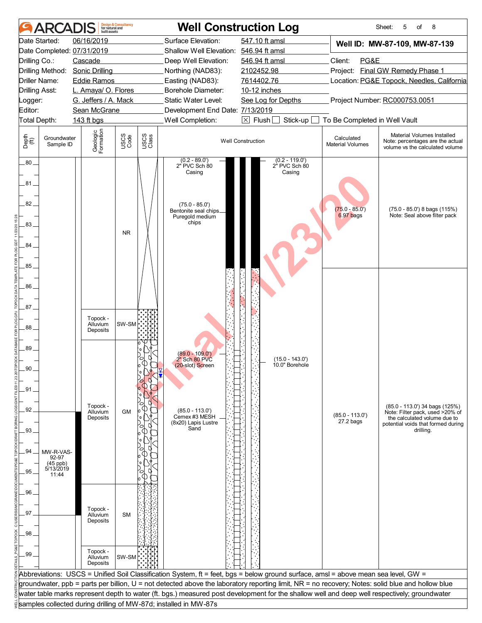|                              | ARCA                                   | huilt assets                                                                 | <b>Design &amp; Consultancy</b><br>for natural and |               |                                                                                                                    | <b>Well Construction Log</b>                                                                                                                                                                                                                                                           |                                       | 8<br>Sheet:<br>5<br>of                                                                            |
|------------------------------|----------------------------------------|------------------------------------------------------------------------------|----------------------------------------------------|---------------|--------------------------------------------------------------------------------------------------------------------|----------------------------------------------------------------------------------------------------------------------------------------------------------------------------------------------------------------------------------------------------------------------------------------|---------------------------------------|---------------------------------------------------------------------------------------------------|
| Drilling Co.:                | Date Started:<br>Drilling Method:      | 06/16/2019<br>Date Completed: 07/31/2019<br>Cascade<br><b>Sonic Drilling</b> |                                                    |               | Surface Elevation:<br>Shallow Well Elevation: 546.94 ft amsl<br>Deep Well Elevation:<br>Northing (NAD83):          | 547.10 ft amsl<br>546.94 ft amsl<br>2102452.98                                                                                                                                                                                                                                         | Client:<br>PG&E                       | Well ID: MW-87-109, MW-87-139<br>Project: Final GW Remedy Phase 1                                 |
|                              | Driller Name:<br><b>Drilling Asst:</b> | <b>Eddie Ramos</b><br>L. Amaya/ O. Flores                                    |                                                    |               | Easting (NAD83):<br>Borehole Diameter:                                                                             | 7614402.76<br>10-12 inches                                                                                                                                                                                                                                                             |                                       | Location: PG&E Topock, Needles, California                                                        |
| Logger:<br>Editor:           |                                        | G. Jeffers / A. Mack<br>Sean McGrane                                         |                                                    |               | Static Water Level:<br>Development End Date: 7/13/2019                                                             | See Log for Depths                                                                                                                                                                                                                                                                     |                                       | Project Number: RC000753.0051                                                                     |
|                              | Total Depth:                           | 143 ft bgs                                                                   |                                                    |               | Well Completion:                                                                                                   | $\boxtimes$ Flush<br>Stick-up                                                                                                                                                                                                                                                          | To Be Completed in Well Vault         |                                                                                                   |
| Depth<br>(ff)                | Groundwater<br>Sample ID               | Geologic<br>Formation                                                        | USCS<br>Code                                       | USCS<br>Class |                                                                                                                    | <b>Well Construction</b>                                                                                                                                                                                                                                                               | Calculated<br><b>Material Volumes</b> | Material Volumes Installed<br>Note: percentages are the actual<br>volume vs the calculated volume |
| $.80-$<br>.81.<br>82.<br>83. |                                        |                                                                              |                                                    |               | $(0.2 - 89.0)$<br>2" PVC Sch 80<br>Casing<br>$(75.0 - 85.0')$<br>Bentonite seal chips_<br>Puregold medium<br>chips | $(0.2 - 119.0')$<br>2" PVC Sch 80<br>Casing                                                                                                                                                                                                                                            | $(75.0 - 85.0')$<br>6.97 bags         | (75.0 - 85.0') 8 bags (115%)<br>Note: Seal above filter pack                                      |
| 84                           |                                        |                                                                              | <b>NR</b>                                          |               |                                                                                                                    |                                                                                                                                                                                                                                                                                        |                                       |                                                                                                   |
| 85<br>86                     |                                        |                                                                              |                                                    |               |                                                                                                                    |                                                                                                                                                                                                                                                                                        |                                       |                                                                                                   |
| $87-$<br>88.                 |                                        | Topock -<br>Alluvium<br>Deposits                                             | SW-SM                                              |               |                                                                                                                    |                                                                                                                                                                                                                                                                                        |                                       |                                                                                                   |
| 89                           |                                        |                                                                              |                                                    |               | $(89.0 - 109.0')$<br>2" Sch 80 PVC<br>(20-slot) Screen                                                             | $(15.0 - 143.0')$<br>10.0" Borehole                                                                                                                                                                                                                                                    |                                       |                                                                                                   |
| .91.<br>92                   |                                        | Topock -<br>Alluvium                                                         | <b>GM</b>                                          |               | $(85.0 - 113.0')$<br>Cemex #3 MESH                                                                                 |                                                                                                                                                                                                                                                                                        | $(85.0 - 113.0')$                     | (85.0 - 113.0') 34 bags (125%)<br>Note: Filter pack, used >20% of                                 |
| 93.                          |                                        | Deposits                                                                     |                                                    |               | (8x20) Lapis Lustre<br>Sand                                                                                        |                                                                                                                                                                                                                                                                                        | 27.2 bags                             | the calculated volume due to<br>potential voids that formed during<br>drilling.                   |
| 94                           | MW-R-VAS-<br>92-97<br>$(45$ ppb)       |                                                                              |                                                    |               |                                                                                                                    |                                                                                                                                                                                                                                                                                        |                                       |                                                                                                   |
| 95                           | 5/13/2019<br>11:44                     |                                                                              |                                                    |               |                                                                                                                    |                                                                                                                                                                                                                                                                                        |                                       |                                                                                                   |
| .96.<br>.97                  |                                        | Topock -                                                                     |                                                    |               |                                                                                                                    |                                                                                                                                                                                                                                                                                        |                                       |                                                                                                   |
| 98.                          |                                        | Alluvium<br>Deposits                                                         | <b>SM</b>                                          |               |                                                                                                                    |                                                                                                                                                                                                                                                                                        |                                       |                                                                                                   |
| .99                          |                                        | Topock -<br>Alluvium<br>Deposits                                             | SW-SM                                              |               |                                                                                                                    |                                                                                                                                                                                                                                                                                        |                                       |                                                                                                   |
|                              |                                        |                                                                              |                                                    |               |                                                                                                                    | Abbreviations: USCS = Unified Soil Classification System, ft = feet, bgs = below ground surface, amsl = above mean sea level, GW =<br>groundwater, ppb = parts per billion, U = not detected above the laboratory reporting limit, NR = no recovery; Notes: solid blue and hollow blue |                                       |                                                                                                   |
|                              |                                        |                                                                              |                                                    |               |                                                                                                                    | water table marks represent depth to water (ft. bgs.) measured post development for the shallow well and deep well respectively; groundwater                                                                                                                                           |                                       |                                                                                                   |
|                              |                                        |                                                                              |                                                    |               | samples collected during drilling of MW-87d; installed in MW-87s                                                   |                                                                                                                                                                                                                                                                                        |                                       |                                                                                                   |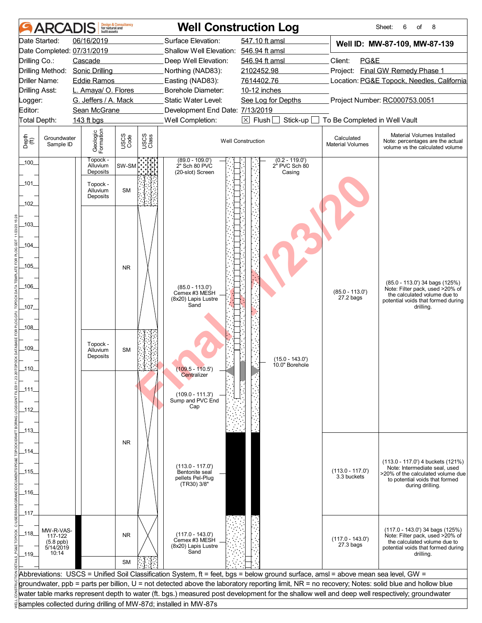| 06/16/2019<br>Surface Elevation:<br>547.10 ft amsl<br>Date Started:<br>Well ID: MW-87-109, MW-87-139<br>Date Completed: 07/31/2019<br>Shallow Well Elevation: 546.94 ft amsl<br>Client:<br>PG&E<br>Drilling Co.:<br>Cascade<br>Deep Well Elevation:<br>546.94 ft amsl<br>Project: Final GW Remedy Phase 1<br>Drilling Method: Sonic Drilling<br>Northing (NAD83):<br>2102452.98<br>Location: PG&E Topock, Needles, California<br><b>Driller Name:</b><br><b>Eddie Ramos</b><br>Easting (NAD83):<br>7614402.76<br>L. Amaya/ O. Flores<br><b>Borehole Diameter:</b><br>10-12 inches<br><b>Drilling Asst:</b><br>Project Number: RC000753.0051<br>G. Jeffers / A. Mack<br>Static Water Level:<br>See Log for Depths<br>Logger:<br>Editor:<br>Sean McGrane<br>Development End Date: 7/13/2019<br>Well Completion:<br>$\boxtimes$ Flush [<br>Total Depth:<br>143 ft bgs<br>Stick-up<br>To Be Completed in Well Vault<br>Geologic<br>Formation<br>Material Volumes Installed<br>USCS<br>Code<br>USCS<br>Class<br>Depth<br>(ff)<br>Groundwater<br>Calculated<br><b>Well Construction</b><br>Note: percentages are the actual<br><b>Material Volumes</b><br>Sample ID<br>volume vs the calculated volume<br>Topock -<br>$(89.0 - 109.0')$<br>$(0.2 - 119.0')$<br>$-100$<br>2" Sch 80 PVC<br>SW-SM<br>2" PVC Sch 80<br>Alluvium<br>Deposits<br>(20-slot) Screen<br>Casing<br>_101_<br>Topock -<br><b>SM</b><br>Alluvium<br>Deposits<br>$-102$<br>$-103$<br>.104_<br>$-105$<br><b>NR</b><br>$(85.0 - 113.0)$ 34 bags $(125%)$<br>$-106$<br>$(85.0 - 113.0')$<br>Note: Filter pack, used >20% of<br>$(85.0 - 113.0')$<br>Cemex #3 MESH<br>the calculated volume due to<br>$27.2$ bags<br>(8x20) Lapis Lustre<br>potential voids that formed during<br>Sand<br>$-107-$<br>drilling.<br>$-108$<br>Topock -<br>_109_<br><b>SM</b><br>Alluvium<br>Deposits<br>$(15.0 - 143.0')$<br>10.0" Borehole<br>.110_<br>$(109.5 - 110.5)$<br>Centralizer<br>_111_<br>$(109.0 - 111.3')$<br>Sump and PVC End<br>Cap<br>_112_<br>_113_<br><b>NR</b><br>_114_<br>(113.0 - 117.0') 4 buckets (121%)<br>$(113.0 - 117.0)$<br>Note: Intermediate seal, used<br>$(113.0 - 117.0)$<br>_115_<br>Bentonite seal<br>>20% of the calculated volume due<br>3.3 buckets<br>pellets Pel-Plug<br>to potential voids that formed<br>(TR30) 3/8"<br>during drilling.<br>$-116$<br>_117.<br>(117.0 - 143.0') 34 bags (125%)<br>MW-R-VAS-<br>_118_<br>$(117.0 - 143.0')$<br><b>NR</b><br>117-122<br>Note: Filter pack, used >20% of<br>$(117.0 - 143.0')$<br>Cemex #3 MESH<br>$(5.8$ ppb)<br>the calculated volume due to<br>27.3 bags<br>(8x20) Lapis Lustre<br>5/14/2019<br>potential voids that formed during<br>Sand<br>10:14<br>$-119$<br>drilling.<br><b>SM</b><br>Abbreviations: USCS = Unified Soil Classification System, ft = feet, bgs = below ground surface, amsl = above mean sea level, GW =<br>groundwater, ppb = parts per billion, U = not detected above the laboratory reporting limit, NR = no recovery; Notes: solid blue and hollow blue<br>water table marks represent depth to water (ft. bgs.) measured post development for the shallow well and deep well respectively; groundwater<br>samples collected during drilling of MW-87d; installed in MW-87s | <b>ARCADI</b> | built assets | <b>Design &amp; Consultancy</b><br>for natural and |  | <b>Well Construction Log</b> | 8<br>Sheet:<br>6<br>of |
|----------------------------------------------------------------------------------------------------------------------------------------------------------------------------------------------------------------------------------------------------------------------------------------------------------------------------------------------------------------------------------------------------------------------------------------------------------------------------------------------------------------------------------------------------------------------------------------------------------------------------------------------------------------------------------------------------------------------------------------------------------------------------------------------------------------------------------------------------------------------------------------------------------------------------------------------------------------------------------------------------------------------------------------------------------------------------------------------------------------------------------------------------------------------------------------------------------------------------------------------------------------------------------------------------------------------------------------------------------------------------------------------------------------------------------------------------------------------------------------------------------------------------------------------------------------------------------------------------------------------------------------------------------------------------------------------------------------------------------------------------------------------------------------------------------------------------------------------------------------------------------------------------------------------------------------------------------------------------------------------------------------------------------------------------------------------------------------------------------------------------------------------------------------------------------------------------------------------------------------------------------------------------------------------------------------------------------------------------------------------------------------------------------------------------------------------------------------------------------------------------------------------------------------------------------------------------------------------------------------------------------------------------------------------------------------------------------------------------------------------------------------------------------------------------------------------------------------------------------------------------------------------------------------------------------------------------------------------------------------------------------------------------------------------------------------------------------------------------------------------------------------------------------------------------------------------------------------------------------------|---------------|--------------|----------------------------------------------------|--|------------------------------|------------------------|
|                                                                                                                                                                                                                                                                                                                                                                                                                                                                                                                                                                                                                                                                                                                                                                                                                                                                                                                                                                                                                                                                                                                                                                                                                                                                                                                                                                                                                                                                                                                                                                                                                                                                                                                                                                                                                                                                                                                                                                                                                                                                                                                                                                                                                                                                                                                                                                                                                                                                                                                                                                                                                                                                                                                                                                                                                                                                                                                                                                                                                                                                                                                                                                                                                                        |               |              |                                                    |  |                              |                        |
|                                                                                                                                                                                                                                                                                                                                                                                                                                                                                                                                                                                                                                                                                                                                                                                                                                                                                                                                                                                                                                                                                                                                                                                                                                                                                                                                                                                                                                                                                                                                                                                                                                                                                                                                                                                                                                                                                                                                                                                                                                                                                                                                                                                                                                                                                                                                                                                                                                                                                                                                                                                                                                                                                                                                                                                                                                                                                                                                                                                                                                                                                                                                                                                                                                        |               |              |                                                    |  |                              |                        |
|                                                                                                                                                                                                                                                                                                                                                                                                                                                                                                                                                                                                                                                                                                                                                                                                                                                                                                                                                                                                                                                                                                                                                                                                                                                                                                                                                                                                                                                                                                                                                                                                                                                                                                                                                                                                                                                                                                                                                                                                                                                                                                                                                                                                                                                                                                                                                                                                                                                                                                                                                                                                                                                                                                                                                                                                                                                                                                                                                                                                                                                                                                                                                                                                                                        |               |              |                                                    |  |                              |                        |
|                                                                                                                                                                                                                                                                                                                                                                                                                                                                                                                                                                                                                                                                                                                                                                                                                                                                                                                                                                                                                                                                                                                                                                                                                                                                                                                                                                                                                                                                                                                                                                                                                                                                                                                                                                                                                                                                                                                                                                                                                                                                                                                                                                                                                                                                                                                                                                                                                                                                                                                                                                                                                                                                                                                                                                                                                                                                                                                                                                                                                                                                                                                                                                                                                                        |               |              |                                                    |  |                              |                        |
|                                                                                                                                                                                                                                                                                                                                                                                                                                                                                                                                                                                                                                                                                                                                                                                                                                                                                                                                                                                                                                                                                                                                                                                                                                                                                                                                                                                                                                                                                                                                                                                                                                                                                                                                                                                                                                                                                                                                                                                                                                                                                                                                                                                                                                                                                                                                                                                                                                                                                                                                                                                                                                                                                                                                                                                                                                                                                                                                                                                                                                                                                                                                                                                                                                        |               |              |                                                    |  |                              |                        |
|                                                                                                                                                                                                                                                                                                                                                                                                                                                                                                                                                                                                                                                                                                                                                                                                                                                                                                                                                                                                                                                                                                                                                                                                                                                                                                                                                                                                                                                                                                                                                                                                                                                                                                                                                                                                                                                                                                                                                                                                                                                                                                                                                                                                                                                                                                                                                                                                                                                                                                                                                                                                                                                                                                                                                                                                                                                                                                                                                                                                                                                                                                                                                                                                                                        |               |              |                                                    |  |                              |                        |
|                                                                                                                                                                                                                                                                                                                                                                                                                                                                                                                                                                                                                                                                                                                                                                                                                                                                                                                                                                                                                                                                                                                                                                                                                                                                                                                                                                                                                                                                                                                                                                                                                                                                                                                                                                                                                                                                                                                                                                                                                                                                                                                                                                                                                                                                                                                                                                                                                                                                                                                                                                                                                                                                                                                                                                                                                                                                                                                                                                                                                                                                                                                                                                                                                                        |               |              |                                                    |  |                              |                        |
|                                                                                                                                                                                                                                                                                                                                                                                                                                                                                                                                                                                                                                                                                                                                                                                                                                                                                                                                                                                                                                                                                                                                                                                                                                                                                                                                                                                                                                                                                                                                                                                                                                                                                                                                                                                                                                                                                                                                                                                                                                                                                                                                                                                                                                                                                                                                                                                                                                                                                                                                                                                                                                                                                                                                                                                                                                                                                                                                                                                                                                                                                                                                                                                                                                        |               |              |                                                    |  |                              |                        |
|                                                                                                                                                                                                                                                                                                                                                                                                                                                                                                                                                                                                                                                                                                                                                                                                                                                                                                                                                                                                                                                                                                                                                                                                                                                                                                                                                                                                                                                                                                                                                                                                                                                                                                                                                                                                                                                                                                                                                                                                                                                                                                                                                                                                                                                                                                                                                                                                                                                                                                                                                                                                                                                                                                                                                                                                                                                                                                                                                                                                                                                                                                                                                                                                                                        |               |              |                                                    |  |                              |                        |
|                                                                                                                                                                                                                                                                                                                                                                                                                                                                                                                                                                                                                                                                                                                                                                                                                                                                                                                                                                                                                                                                                                                                                                                                                                                                                                                                                                                                                                                                                                                                                                                                                                                                                                                                                                                                                                                                                                                                                                                                                                                                                                                                                                                                                                                                                                                                                                                                                                                                                                                                                                                                                                                                                                                                                                                                                                                                                                                                                                                                                                                                                                                                                                                                                                        |               |              |                                                    |  |                              |                        |
|                                                                                                                                                                                                                                                                                                                                                                                                                                                                                                                                                                                                                                                                                                                                                                                                                                                                                                                                                                                                                                                                                                                                                                                                                                                                                                                                                                                                                                                                                                                                                                                                                                                                                                                                                                                                                                                                                                                                                                                                                                                                                                                                                                                                                                                                                                                                                                                                                                                                                                                                                                                                                                                                                                                                                                                                                                                                                                                                                                                                                                                                                                                                                                                                                                        |               |              |                                                    |  |                              |                        |
|                                                                                                                                                                                                                                                                                                                                                                                                                                                                                                                                                                                                                                                                                                                                                                                                                                                                                                                                                                                                                                                                                                                                                                                                                                                                                                                                                                                                                                                                                                                                                                                                                                                                                                                                                                                                                                                                                                                                                                                                                                                                                                                                                                                                                                                                                                                                                                                                                                                                                                                                                                                                                                                                                                                                                                                                                                                                                                                                                                                                                                                                                                                                                                                                                                        |               |              |                                                    |  |                              |                        |
|                                                                                                                                                                                                                                                                                                                                                                                                                                                                                                                                                                                                                                                                                                                                                                                                                                                                                                                                                                                                                                                                                                                                                                                                                                                                                                                                                                                                                                                                                                                                                                                                                                                                                                                                                                                                                                                                                                                                                                                                                                                                                                                                                                                                                                                                                                                                                                                                                                                                                                                                                                                                                                                                                                                                                                                                                                                                                                                                                                                                                                                                                                                                                                                                                                        |               |              |                                                    |  |                              |                        |
|                                                                                                                                                                                                                                                                                                                                                                                                                                                                                                                                                                                                                                                                                                                                                                                                                                                                                                                                                                                                                                                                                                                                                                                                                                                                                                                                                                                                                                                                                                                                                                                                                                                                                                                                                                                                                                                                                                                                                                                                                                                                                                                                                                                                                                                                                                                                                                                                                                                                                                                                                                                                                                                                                                                                                                                                                                                                                                                                                                                                                                                                                                                                                                                                                                        |               |              |                                                    |  |                              |                        |
|                                                                                                                                                                                                                                                                                                                                                                                                                                                                                                                                                                                                                                                                                                                                                                                                                                                                                                                                                                                                                                                                                                                                                                                                                                                                                                                                                                                                                                                                                                                                                                                                                                                                                                                                                                                                                                                                                                                                                                                                                                                                                                                                                                                                                                                                                                                                                                                                                                                                                                                                                                                                                                                                                                                                                                                                                                                                                                                                                                                                                                                                                                                                                                                                                                        |               |              |                                                    |  |                              |                        |
|                                                                                                                                                                                                                                                                                                                                                                                                                                                                                                                                                                                                                                                                                                                                                                                                                                                                                                                                                                                                                                                                                                                                                                                                                                                                                                                                                                                                                                                                                                                                                                                                                                                                                                                                                                                                                                                                                                                                                                                                                                                                                                                                                                                                                                                                                                                                                                                                                                                                                                                                                                                                                                                                                                                                                                                                                                                                                                                                                                                                                                                                                                                                                                                                                                        |               |              |                                                    |  |                              |                        |
|                                                                                                                                                                                                                                                                                                                                                                                                                                                                                                                                                                                                                                                                                                                                                                                                                                                                                                                                                                                                                                                                                                                                                                                                                                                                                                                                                                                                                                                                                                                                                                                                                                                                                                                                                                                                                                                                                                                                                                                                                                                                                                                                                                                                                                                                                                                                                                                                                                                                                                                                                                                                                                                                                                                                                                                                                                                                                                                                                                                                                                                                                                                                                                                                                                        |               |              |                                                    |  |                              |                        |
|                                                                                                                                                                                                                                                                                                                                                                                                                                                                                                                                                                                                                                                                                                                                                                                                                                                                                                                                                                                                                                                                                                                                                                                                                                                                                                                                                                                                                                                                                                                                                                                                                                                                                                                                                                                                                                                                                                                                                                                                                                                                                                                                                                                                                                                                                                                                                                                                                                                                                                                                                                                                                                                                                                                                                                                                                                                                                                                                                                                                                                                                                                                                                                                                                                        |               |              |                                                    |  |                              |                        |
|                                                                                                                                                                                                                                                                                                                                                                                                                                                                                                                                                                                                                                                                                                                                                                                                                                                                                                                                                                                                                                                                                                                                                                                                                                                                                                                                                                                                                                                                                                                                                                                                                                                                                                                                                                                                                                                                                                                                                                                                                                                                                                                                                                                                                                                                                                                                                                                                                                                                                                                                                                                                                                                                                                                                                                                                                                                                                                                                                                                                                                                                                                                                                                                                                                        |               |              |                                                    |  |                              |                        |
|                                                                                                                                                                                                                                                                                                                                                                                                                                                                                                                                                                                                                                                                                                                                                                                                                                                                                                                                                                                                                                                                                                                                                                                                                                                                                                                                                                                                                                                                                                                                                                                                                                                                                                                                                                                                                                                                                                                                                                                                                                                                                                                                                                                                                                                                                                                                                                                                                                                                                                                                                                                                                                                                                                                                                                                                                                                                                                                                                                                                                                                                                                                                                                                                                                        |               |              |                                                    |  |                              |                        |
|                                                                                                                                                                                                                                                                                                                                                                                                                                                                                                                                                                                                                                                                                                                                                                                                                                                                                                                                                                                                                                                                                                                                                                                                                                                                                                                                                                                                                                                                                                                                                                                                                                                                                                                                                                                                                                                                                                                                                                                                                                                                                                                                                                                                                                                                                                                                                                                                                                                                                                                                                                                                                                                                                                                                                                                                                                                                                                                                                                                                                                                                                                                                                                                                                                        |               |              |                                                    |  |                              |                        |
|                                                                                                                                                                                                                                                                                                                                                                                                                                                                                                                                                                                                                                                                                                                                                                                                                                                                                                                                                                                                                                                                                                                                                                                                                                                                                                                                                                                                                                                                                                                                                                                                                                                                                                                                                                                                                                                                                                                                                                                                                                                                                                                                                                                                                                                                                                                                                                                                                                                                                                                                                                                                                                                                                                                                                                                                                                                                                                                                                                                                                                                                                                                                                                                                                                        |               |              |                                                    |  |                              |                        |
|                                                                                                                                                                                                                                                                                                                                                                                                                                                                                                                                                                                                                                                                                                                                                                                                                                                                                                                                                                                                                                                                                                                                                                                                                                                                                                                                                                                                                                                                                                                                                                                                                                                                                                                                                                                                                                                                                                                                                                                                                                                                                                                                                                                                                                                                                                                                                                                                                                                                                                                                                                                                                                                                                                                                                                                                                                                                                                                                                                                                                                                                                                                                                                                                                                        |               |              |                                                    |  |                              |                        |
|                                                                                                                                                                                                                                                                                                                                                                                                                                                                                                                                                                                                                                                                                                                                                                                                                                                                                                                                                                                                                                                                                                                                                                                                                                                                                                                                                                                                                                                                                                                                                                                                                                                                                                                                                                                                                                                                                                                                                                                                                                                                                                                                                                                                                                                                                                                                                                                                                                                                                                                                                                                                                                                                                                                                                                                                                                                                                                                                                                                                                                                                                                                                                                                                                                        |               |              |                                                    |  |                              |                        |
|                                                                                                                                                                                                                                                                                                                                                                                                                                                                                                                                                                                                                                                                                                                                                                                                                                                                                                                                                                                                                                                                                                                                                                                                                                                                                                                                                                                                                                                                                                                                                                                                                                                                                                                                                                                                                                                                                                                                                                                                                                                                                                                                                                                                                                                                                                                                                                                                                                                                                                                                                                                                                                                                                                                                                                                                                                                                                                                                                                                                                                                                                                                                                                                                                                        |               |              |                                                    |  |                              |                        |
|                                                                                                                                                                                                                                                                                                                                                                                                                                                                                                                                                                                                                                                                                                                                                                                                                                                                                                                                                                                                                                                                                                                                                                                                                                                                                                                                                                                                                                                                                                                                                                                                                                                                                                                                                                                                                                                                                                                                                                                                                                                                                                                                                                                                                                                                                                                                                                                                                                                                                                                                                                                                                                                                                                                                                                                                                                                                                                                                                                                                                                                                                                                                                                                                                                        |               |              |                                                    |  |                              |                        |
|                                                                                                                                                                                                                                                                                                                                                                                                                                                                                                                                                                                                                                                                                                                                                                                                                                                                                                                                                                                                                                                                                                                                                                                                                                                                                                                                                                                                                                                                                                                                                                                                                                                                                                                                                                                                                                                                                                                                                                                                                                                                                                                                                                                                                                                                                                                                                                                                                                                                                                                                                                                                                                                                                                                                                                                                                                                                                                                                                                                                                                                                                                                                                                                                                                        |               |              |                                                    |  |                              |                        |
|                                                                                                                                                                                                                                                                                                                                                                                                                                                                                                                                                                                                                                                                                                                                                                                                                                                                                                                                                                                                                                                                                                                                                                                                                                                                                                                                                                                                                                                                                                                                                                                                                                                                                                                                                                                                                                                                                                                                                                                                                                                                                                                                                                                                                                                                                                                                                                                                                                                                                                                                                                                                                                                                                                                                                                                                                                                                                                                                                                                                                                                                                                                                                                                                                                        |               |              |                                                    |  |                              |                        |
|                                                                                                                                                                                                                                                                                                                                                                                                                                                                                                                                                                                                                                                                                                                                                                                                                                                                                                                                                                                                                                                                                                                                                                                                                                                                                                                                                                                                                                                                                                                                                                                                                                                                                                                                                                                                                                                                                                                                                                                                                                                                                                                                                                                                                                                                                                                                                                                                                                                                                                                                                                                                                                                                                                                                                                                                                                                                                                                                                                                                                                                                                                                                                                                                                                        |               |              |                                                    |  |                              |                        |
|                                                                                                                                                                                                                                                                                                                                                                                                                                                                                                                                                                                                                                                                                                                                                                                                                                                                                                                                                                                                                                                                                                                                                                                                                                                                                                                                                                                                                                                                                                                                                                                                                                                                                                                                                                                                                                                                                                                                                                                                                                                                                                                                                                                                                                                                                                                                                                                                                                                                                                                                                                                                                                                                                                                                                                                                                                                                                                                                                                                                                                                                                                                                                                                                                                        |               |              |                                                    |  |                              |                        |
|                                                                                                                                                                                                                                                                                                                                                                                                                                                                                                                                                                                                                                                                                                                                                                                                                                                                                                                                                                                                                                                                                                                                                                                                                                                                                                                                                                                                                                                                                                                                                                                                                                                                                                                                                                                                                                                                                                                                                                                                                                                                                                                                                                                                                                                                                                                                                                                                                                                                                                                                                                                                                                                                                                                                                                                                                                                                                                                                                                                                                                                                                                                                                                                                                                        |               |              |                                                    |  |                              |                        |
|                                                                                                                                                                                                                                                                                                                                                                                                                                                                                                                                                                                                                                                                                                                                                                                                                                                                                                                                                                                                                                                                                                                                                                                                                                                                                                                                                                                                                                                                                                                                                                                                                                                                                                                                                                                                                                                                                                                                                                                                                                                                                                                                                                                                                                                                                                                                                                                                                                                                                                                                                                                                                                                                                                                                                                                                                                                                                                                                                                                                                                                                                                                                                                                                                                        |               |              |                                                    |  |                              |                        |
|                                                                                                                                                                                                                                                                                                                                                                                                                                                                                                                                                                                                                                                                                                                                                                                                                                                                                                                                                                                                                                                                                                                                                                                                                                                                                                                                                                                                                                                                                                                                                                                                                                                                                                                                                                                                                                                                                                                                                                                                                                                                                                                                                                                                                                                                                                                                                                                                                                                                                                                                                                                                                                                                                                                                                                                                                                                                                                                                                                                                                                                                                                                                                                                                                                        |               |              |                                                    |  |                              |                        |
|                                                                                                                                                                                                                                                                                                                                                                                                                                                                                                                                                                                                                                                                                                                                                                                                                                                                                                                                                                                                                                                                                                                                                                                                                                                                                                                                                                                                                                                                                                                                                                                                                                                                                                                                                                                                                                                                                                                                                                                                                                                                                                                                                                                                                                                                                                                                                                                                                                                                                                                                                                                                                                                                                                                                                                                                                                                                                                                                                                                                                                                                                                                                                                                                                                        |               |              |                                                    |  |                              |                        |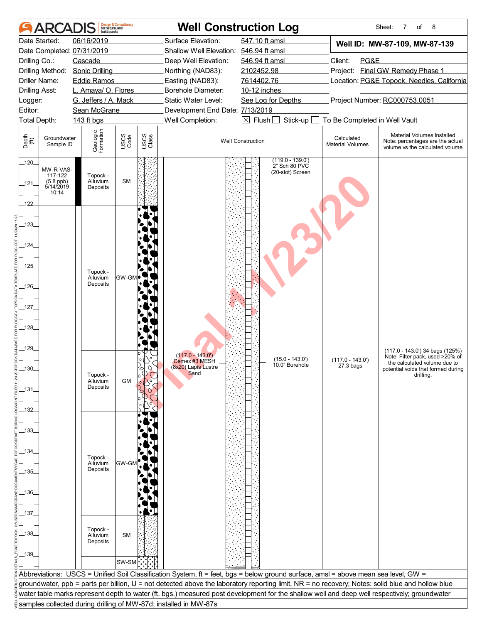|                                | ARCA                                                    | built assets                                | <b>Design &amp; Consultancy</b><br>for natural and |               |                                                                  | <b>Well Construction Log</b>                                                                                                                     |                                       | 8<br>Sheet:<br>7<br>of                                                                             |
|--------------------------------|---------------------------------------------------------|---------------------------------------------|----------------------------------------------------|---------------|------------------------------------------------------------------|--------------------------------------------------------------------------------------------------------------------------------------------------|---------------------------------------|----------------------------------------------------------------------------------------------------|
|                                | Date Started:                                           | 06/16/2019                                  |                                                    |               | Surface Elevation:                                               | 547.10 ft amsl                                                                                                                                   |                                       | Well ID: MW-87-109, MW-87-139                                                                      |
|                                |                                                         | Date Completed: 07/31/2019                  |                                                    |               | Shallow Well Elevation: 546.94 ft amsl                           |                                                                                                                                                  |                                       |                                                                                                    |
| Drilling Co.:                  |                                                         | Cascade                                     |                                                    |               | Deep Well Elevation:                                             | 546.94 ft amsl                                                                                                                                   | Client:<br>PG&E                       |                                                                                                    |
|                                |                                                         | Drilling Method: Sonic Drilling             |                                                    |               | Northing (NAD83):                                                | 2102452.98                                                                                                                                       |                                       | Project: Final GW Remedy Phase 1                                                                   |
|                                | Driller Name:                                           | <b>Eddie Ramos</b>                          |                                                    |               | Easting (NAD83):                                                 | 7614402.76                                                                                                                                       |                                       | Location: PG&E Topock, Needles, California                                                         |
| <b>Drilling Asst:</b>          |                                                         | L. Amaya/ O. Flores<br>G. Jeffers / A. Mack |                                                    |               | Borehole Diameter:<br>Static Water Level:                        | 10-12 inches                                                                                                                                     |                                       | Project Number: RC000753.0051                                                                      |
| Logger:<br>Editor:             |                                                         | Sean McGrane                                |                                                    |               | Development End Date: 7/13/2019                                  | See Log for Depths                                                                                                                               |                                       |                                                                                                    |
|                                | Total Depth:                                            | 143 ft bgs                                  |                                                    |               | Well Completion:                                                 | $\boxtimes$ Flush $\Box$<br>Stick-up                                                                                                             | To Be Completed in Well Vault         |                                                                                                    |
| Depth<br>$\bigoplus_{i=1}^{n}$ | Groundwater<br>Sample ID                                | Geologic<br>Formation                       | USCS<br>Code                                       | USCS<br>Class |                                                                  | <b>Well Construction</b>                                                                                                                         | Calculated<br><b>Material Volumes</b> | Material Volumes Installed<br>Note: percentages are the actual<br>volume vs the calculated volume  |
| $-120$                         |                                                         |                                             |                                                    |               |                                                                  | $(119.0 - 139.0)$                                                                                                                                |                                       |                                                                                                    |
| 121                            | MW-R-VAS-<br>117-122<br>(5.8 ppb)<br>5/14/2019<br>10:14 | Topock -<br>Alluvium<br>Deposits            | <b>SM</b>                                          |               |                                                                  | 2" Sch 80 PVC<br>(20-slot) Screen                                                                                                                |                                       |                                                                                                    |
| $-122$                         |                                                         |                                             |                                                    |               |                                                                  |                                                                                                                                                  |                                       |                                                                                                    |
| $-123$                         |                                                         |                                             |                                                    |               |                                                                  |                                                                                                                                                  |                                       |                                                                                                    |
| _124_                          |                                                         |                                             |                                                    |               |                                                                  |                                                                                                                                                  |                                       |                                                                                                    |
|                                |                                                         |                                             |                                                    |               |                                                                  |                                                                                                                                                  |                                       |                                                                                                    |
| $-125$                         |                                                         | Topock -                                    |                                                    |               |                                                                  |                                                                                                                                                  |                                       |                                                                                                    |
|                                |                                                         | Alluvium<br>Deposits                        | GW-GI                                              |               |                                                                  |                                                                                                                                                  |                                       |                                                                                                    |
| $-126$                         |                                                         |                                             |                                                    |               |                                                                  |                                                                                                                                                  |                                       |                                                                                                    |
| $-127-$                        |                                                         |                                             |                                                    |               |                                                                  |                                                                                                                                                  |                                       |                                                                                                    |
|                                |                                                         |                                             |                                                    |               |                                                                  |                                                                                                                                                  |                                       |                                                                                                    |
| $-128$                         |                                                         |                                             |                                                    |               |                                                                  |                                                                                                                                                  |                                       |                                                                                                    |
|                                |                                                         |                                             |                                                    |               |                                                                  |                                                                                                                                                  |                                       |                                                                                                    |
| 129                            |                                                         |                                             |                                                    |               |                                                                  |                                                                                                                                                  |                                       |                                                                                                    |
|                                |                                                         |                                             |                                                    |               | $(117.0 - 143.0')$<br>Cemex #3 MESH                              | $(15.0 - 143.0)$                                                                                                                                 | $(117.0 - 143.0')$                    | (117.0 - 143.0') 34 bags (125%)<br>Note: Filter pack, used >20% of<br>the calculated volume due to |
| 30.                            |                                                         |                                             |                                                    |               | (8x20) Lapis Lustre<br>Sand                                      | 10.0" Borehole                                                                                                                                   | 27.3 bags                             | potential voids that formed during                                                                 |
|                                |                                                         | Topock -<br>Alluvium                        | <b>GM</b>                                          |               |                                                                  |                                                                                                                                                  |                                       | drilling.                                                                                          |
| _131_                          |                                                         | Deposits                                    |                                                    |               |                                                                  |                                                                                                                                                  |                                       |                                                                                                    |
|                                |                                                         |                                             |                                                    |               |                                                                  |                                                                                                                                                  |                                       |                                                                                                    |
| _132_                          |                                                         |                                             |                                                    |               |                                                                  |                                                                                                                                                  |                                       |                                                                                                    |
|                                |                                                         |                                             |                                                    |               |                                                                  |                                                                                                                                                  |                                       |                                                                                                    |
| _133_                          |                                                         |                                             |                                                    |               |                                                                  |                                                                                                                                                  |                                       |                                                                                                    |
| _134_                          |                                                         |                                             |                                                    |               |                                                                  |                                                                                                                                                  |                                       |                                                                                                    |
|                                |                                                         | Topock -                                    |                                                    |               |                                                                  |                                                                                                                                                  |                                       |                                                                                                    |
| _135_                          |                                                         | Alluvium<br>Deposits                        | GW-GM                                              |               |                                                                  |                                                                                                                                                  |                                       |                                                                                                    |
|                                |                                                         |                                             |                                                    |               |                                                                  |                                                                                                                                                  |                                       |                                                                                                    |
| $-136$                         |                                                         |                                             |                                                    |               |                                                                  |                                                                                                                                                  |                                       |                                                                                                    |
|                                |                                                         |                                             |                                                    |               |                                                                  |                                                                                                                                                  |                                       |                                                                                                    |
| _137_                          |                                                         |                                             |                                                    |               |                                                                  |                                                                                                                                                  |                                       |                                                                                                    |
|                                |                                                         |                                             |                                                    |               |                                                                  |                                                                                                                                                  |                                       |                                                                                                    |
| _138_                          |                                                         | Topock -<br>Alluvium                        | <b>SM</b>                                          |               |                                                                  |                                                                                                                                                  |                                       |                                                                                                    |
|                                |                                                         | Deposits                                    |                                                    |               |                                                                  |                                                                                                                                                  |                                       |                                                                                                    |
| $-139$                         |                                                         |                                             |                                                    |               |                                                                  |                                                                                                                                                  |                                       |                                                                                                    |
|                                |                                                         |                                             | SW-SM                                              |               |                                                                  |                                                                                                                                                  |                                       |                                                                                                    |
|                                |                                                         |                                             |                                                    |               |                                                                  | Abbreviations: USCS = Unified Soil Classification System, ft = feet, bgs = below ground surface, amsl = above mean sea level, GW =               |                                       |                                                                                                    |
|                                |                                                         |                                             |                                                    |               |                                                                  | groundwater, ppb = parts per billion, U = not detected above the laboratory reporting limit, NR = no recovery; Notes: solid blue and hollow blue |                                       |                                                                                                    |
|                                |                                                         |                                             |                                                    |               |                                                                  | water table marks represent depth to water (ft. bgs.) measured post development for the shallow well and deep well respectively; groundwater     |                                       |                                                                                                    |
|                                |                                                         |                                             |                                                    |               | samples collected during drilling of MW-87d; installed in MW-87s |                                                                                                                                                  |                                       |                                                                                                    |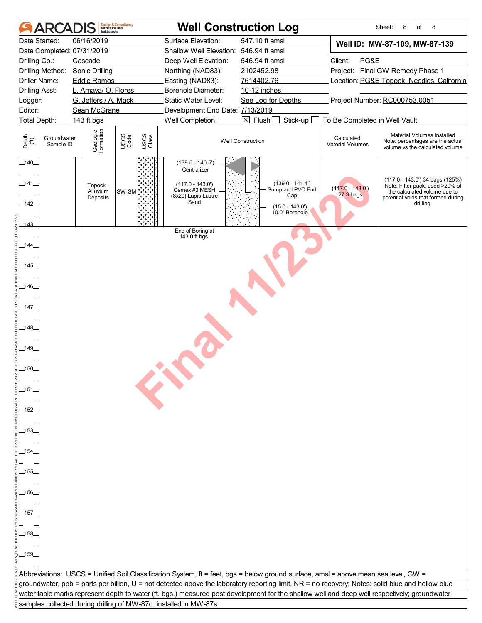|                       | <b>ARCADIS</b>           | <b>Design &amp; Consultancy</b><br>for natural and<br>built assets |               | <b>Well Construction Log</b>                                     |                                                                                                                                                  |                                       | Sheet:<br>8<br>of<br>8                                                                                             |
|-----------------------|--------------------------|--------------------------------------------------------------------|---------------|------------------------------------------------------------------|--------------------------------------------------------------------------------------------------------------------------------------------------|---------------------------------------|--------------------------------------------------------------------------------------------------------------------|
|                       | Date Started:            | 06/16/2019                                                         |               | Surface Elevation:                                               | 547.10 ft amsl                                                                                                                                   |                                       | Well ID: MW-87-109, MW-87-139                                                                                      |
|                       |                          | Date Completed: 07/31/2019                                         |               | Shallow Well Elevation: 546.94 ft amsl                           |                                                                                                                                                  |                                       |                                                                                                                    |
| Drilling Co.:         |                          | Cascade                                                            |               | Deep Well Elevation:                                             | 546.94 ft amsl                                                                                                                                   | Client:<br>PG&E                       |                                                                                                                    |
|                       | Drilling Method:         | <b>Sonic Drilling</b>                                              |               | Northing (NAD83):                                                | 2102452.98                                                                                                                                       |                                       | Project: Final GW Remedy Phase 1                                                                                   |
|                       | Driller Name:            | <b>Eddie Ramos</b>                                                 |               | Easting (NAD83):                                                 | 7614402.76                                                                                                                                       |                                       | Location: PG&E Topock, Needles, California                                                                         |
| <b>Drilling Asst:</b> |                          | L. Amaya/ O. Flores                                                |               | Borehole Diameter:                                               | 10-12 inches                                                                                                                                     |                                       |                                                                                                                    |
| Logger:               |                          | G. Jeffers / A. Mack                                               |               | Static Water Level:                                              | See Log for Depths                                                                                                                               |                                       | Project Number: RC000753.0051                                                                                      |
| Editor:               |                          | Sean McGrane                                                       |               | Development End Date: 7/13/2019                                  |                                                                                                                                                  |                                       |                                                                                                                    |
| Total Depth:          |                          | 143 ft bgs                                                         |               | Well Completion:                                                 | $\times$ Flush [<br>Stick-up                                                                                                                     | To Be Completed in Well Vault         |                                                                                                                    |
|                       |                          |                                                                    |               |                                                                  |                                                                                                                                                  |                                       |                                                                                                                    |
| Depth<br>(ff)         | Groundwater<br>Sample ID | Geologic<br>Formation<br>USCS<br>Code                              | USCS<br>Class |                                                                  | <b>Well Construction</b>                                                                                                                         | Calculated<br><b>Material Volumes</b> | Material Volumes Installed<br>Note: percentages are the actual<br>volume vs the calculated volume                  |
| $-140$<br>_141_       |                          |                                                                    |               | $(139.5 - 140.5')$<br>Centralizer<br>$(117.0 - 143.0')$          | $(139.0 - 141.4')$                                                                                                                               |                                       | (117.0 - 143.0') 34 bags (125%)                                                                                    |
| $142$                 |                          | Topock -<br>SW-SM<br>Alluvium<br>Deposits                          |               | Cemex #3 MESH<br>(8x20) Lapis Lustre<br>Sand                     | Sump and PVC End<br>Cap<br>$(15.0 - 143.0')$                                                                                                     | $(117.0 - 143.0')$<br>$27.3$ bags     | Note: Filter pack, used >20% of<br>the calculated volume due to<br>potential voids that formed during<br>drilling. |
| 143                   |                          |                                                                    |               |                                                                  | 10.0" Borehole                                                                                                                                   |                                       |                                                                                                                    |
|                       |                          |                                                                    |               | End of Boring at<br>143.0 ft bgs.                                |                                                                                                                                                  |                                       |                                                                                                                    |
| $-144$                |                          |                                                                    |               |                                                                  |                                                                                                                                                  |                                       |                                                                                                                    |
| $-145$                |                          |                                                                    |               |                                                                  |                                                                                                                                                  |                                       |                                                                                                                    |
| $-146$                |                          |                                                                    |               |                                                                  |                                                                                                                                                  |                                       |                                                                                                                    |
| $-147-$               |                          |                                                                    |               |                                                                  |                                                                                                                                                  |                                       |                                                                                                                    |
| $-148$                |                          |                                                                    |               |                                                                  |                                                                                                                                                  |                                       |                                                                                                                    |
|                       |                          |                                                                    |               |                                                                  |                                                                                                                                                  |                                       |                                                                                                                    |
| 149                   |                          |                                                                    |               |                                                                  |                                                                                                                                                  |                                       |                                                                                                                    |
| .150.                 |                          |                                                                    |               |                                                                  |                                                                                                                                                  |                                       |                                                                                                                    |
|                       |                          |                                                                    |               |                                                                  |                                                                                                                                                  |                                       |                                                                                                                    |
| $-151$                |                          |                                                                    |               | <b>CANADA</b>                                                    |                                                                                                                                                  |                                       |                                                                                                                    |
| _152                  |                          |                                                                    |               |                                                                  |                                                                                                                                                  |                                       |                                                                                                                    |
| .153.                 |                          |                                                                    |               |                                                                  |                                                                                                                                                  |                                       |                                                                                                                    |
|                       |                          |                                                                    |               |                                                                  |                                                                                                                                                  |                                       |                                                                                                                    |
| .154                  |                          |                                                                    |               |                                                                  |                                                                                                                                                  |                                       |                                                                                                                    |
|                       |                          |                                                                    |               |                                                                  |                                                                                                                                                  |                                       |                                                                                                                    |
| _155_                 |                          |                                                                    |               |                                                                  |                                                                                                                                                  |                                       |                                                                                                                    |
| _156_                 |                          |                                                                    |               |                                                                  |                                                                                                                                                  |                                       |                                                                                                                    |
|                       |                          |                                                                    |               |                                                                  |                                                                                                                                                  |                                       |                                                                                                                    |
| _157_                 |                          |                                                                    |               |                                                                  |                                                                                                                                                  |                                       |                                                                                                                    |
| _158_                 |                          |                                                                    |               |                                                                  |                                                                                                                                                  |                                       |                                                                                                                    |
| _159_                 |                          |                                                                    |               |                                                                  |                                                                                                                                                  |                                       |                                                                                                                    |
|                       |                          |                                                                    |               |                                                                  | Abbreviations: USCS = Unified Soil Classification System, ft = feet, bgs = below ground surface, amsl = above mean sea level, GW =               |                                       |                                                                                                                    |
|                       |                          |                                                                    |               |                                                                  | groundwater, ppb = parts per billion, U = not detected above the laboratory reporting limit, NR = no recovery; Notes: solid blue and hollow blue |                                       |                                                                                                                    |
|                       |                          |                                                                    |               |                                                                  | water table marks represent depth to water (ft. bgs.) measured post development for the shallow well and deep well respectively; groundwater     |                                       |                                                                                                                    |
|                       |                          |                                                                    |               | samples collected during drilling of MW-87d; installed in MW-87s |                                                                                                                                                  |                                       |                                                                                                                    |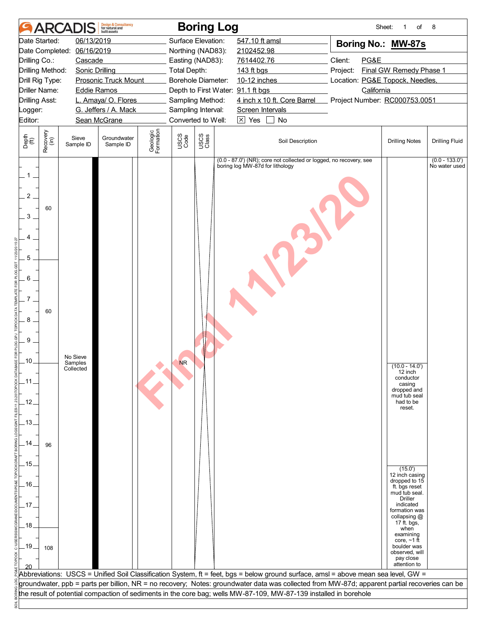|                                              |                  | <b>ARCADI</b>                    | Design & Consultancy<br>for natural and<br>huilt assets |                       |                    | <b>Boring Log</b> |                                                                                                                                                                                                                                                                                     |          | Sheet:     | of<br>1                                              | 8                                 |
|----------------------------------------------|------------------|----------------------------------|---------------------------------------------------------|-----------------------|--------------------|-------------------|-------------------------------------------------------------------------------------------------------------------------------------------------------------------------------------------------------------------------------------------------------------------------------------|----------|------------|------------------------------------------------------|-----------------------------------|
|                                              | Date Started:    | 06/13/2019                       |                                                         |                       | Surface Elevation: |                   | 547.10 ft amsl                                                                                                                                                                                                                                                                      |          |            | Boring No.: MW-87s                                   |                                   |
|                                              | Date Completed:  | 06/16/2019                       |                                                         |                       | Northing (NAD83):  |                   | 2102452.98                                                                                                                                                                                                                                                                          |          |            |                                                      |                                   |
| Drilling Co.:                                |                  | Cascade                          |                                                         |                       | Easting (NAD83):   |                   | 7614402.76                                                                                                                                                                                                                                                                          | Client:  | PG&E       |                                                      |                                   |
| Drilling Method:                             |                  | <b>Sonic Drilling</b>            |                                                         |                       | Total Depth:       |                   | 143 ft bgs                                                                                                                                                                                                                                                                          | Project: |            | Final GW Remedy Phase 1                              |                                   |
| Drill Rig Type:                              |                  |                                  | <b>Prosonic Truck Mount</b>                             |                       | Borehole Diameter: |                   | 10-12 inches                                                                                                                                                                                                                                                                        |          |            | Location: PG&E Topock, Needles,                      |                                   |
| <b>Driller Name:</b>                         |                  | <b>Eddie Ramos</b>               |                                                         |                       |                    |                   | Depth to First Water: 91.1 ft bgs                                                                                                                                                                                                                                                   |          | California |                                                      |                                   |
| Drilling Asst:                               |                  |                                  | L. Amaya/ O. Flores                                     |                       | Sampling Method:   |                   | 4 inch x 10 ft. Core Barrel                                                                                                                                                                                                                                                         |          |            | Project Number: RC000753.0051                        |                                   |
| _ogger:                                      |                  |                                  | G. Jeffers / A. Mack                                    |                       | Sampling Interval: |                   | Screen Intervals                                                                                                                                                                                                                                                                    |          |            |                                                      |                                   |
| Editor:                                      |                  |                                  | Sean McGrane                                            |                       | Converted to Well: |                   | $\boxtimes$ Yes $\Box$<br>No                                                                                                                                                                                                                                                        |          |            |                                                      |                                   |
| Depth<br>$\widetilde{f(t)}$                  | Recovery<br>(in) | Sieve<br>Sample ID               | Groundwater<br>Sample ID                                | Geologic<br>Formation | USCS<br>Code       | USCS<br>Class     | Soil Description                                                                                                                                                                                                                                                                    |          |            | <b>Drilling Notes</b>                                | <b>Drilling Fluid</b>             |
| 1<br>$\overline{c}$<br>3<br>5<br>6<br>8<br>9 | 60<br>60         |                                  |                                                         |                       |                    |                   | (0.0 - 87.0') (NR); core not collected or logged, no recovery, see<br>boring log MW-87d for lithology                                                                                                                                                                               |          |            |                                                      | $(0.0 - 133.0')$<br>No water used |
|                                              |                  |                                  |                                                         |                       |                    |                   |                                                                                                                                                                                                                                                                                     |          |            |                                                      |                                   |
| .10.                                         |                  | No Sieve<br>Samples<br>Collected |                                                         |                       | <b>NR</b>          |                   |                                                                                                                                                                                                                                                                                     |          |            | $(10.0 - 14.0)$                                      |                                   |
|                                              |                  |                                  |                                                         |                       |                    |                   |                                                                                                                                                                                                                                                                                     |          |            | 12 inch<br>conductor                                 |                                   |
| _11.                                         |                  |                                  |                                                         |                       |                    |                   |                                                                                                                                                                                                                                                                                     |          |            | casing                                               |                                   |
|                                              |                  |                                  |                                                         |                       |                    |                   |                                                                                                                                                                                                                                                                                     |          |            | dropped and<br>mud tub seal                          |                                   |
| $-12$                                        |                  |                                  |                                                         |                       |                    |                   |                                                                                                                                                                                                                                                                                     |          |            | had to be<br>reset.                                  |                                   |
|                                              |                  |                                  |                                                         |                       |                    |                   |                                                                                                                                                                                                                                                                                     |          |            |                                                      |                                   |
| -13.                                         |                  |                                  |                                                         |                       |                    |                   |                                                                                                                                                                                                                                                                                     |          |            |                                                      |                                   |
| .14.                                         | 96               |                                  |                                                         |                       |                    |                   |                                                                                                                                                                                                                                                                                     |          |            |                                                      |                                   |
|                                              |                  |                                  |                                                         |                       |                    |                   |                                                                                                                                                                                                                                                                                     |          |            |                                                      |                                   |
| .15.                                         |                  |                                  |                                                         |                       |                    |                   |                                                                                                                                                                                                                                                                                     |          |            |                                                      |                                   |
|                                              |                  |                                  |                                                         |                       |                    |                   |                                                                                                                                                                                                                                                                                     |          |            | (15.0')<br>12 inch casing                            |                                   |
| $-16$                                        |                  |                                  |                                                         |                       |                    |                   |                                                                                                                                                                                                                                                                                     |          |            | dropped to 15<br>ft. bgs reset                       |                                   |
|                                              |                  |                                  |                                                         |                       |                    |                   |                                                                                                                                                                                                                                                                                     |          |            | mud tub seal.<br><b>Driller</b>                      |                                   |
| .17.                                         |                  |                                  |                                                         |                       |                    |                   |                                                                                                                                                                                                                                                                                     |          |            | indicated                                            |                                   |
| .18.                                         |                  |                                  |                                                         |                       |                    |                   |                                                                                                                                                                                                                                                                                     |          |            | formation was<br>collapsing @<br>17 ft. bgs,<br>when |                                   |
|                                              |                  |                                  |                                                         |                       |                    |                   |                                                                                                                                                                                                                                                                                     |          |            | examining<br>core, $~1$ ft                           |                                   |
| $-19$                                        | 108              |                                  |                                                         |                       |                    |                   |                                                                                                                                                                                                                                                                                     |          |            | boulder was                                          |                                   |
|                                              |                  |                                  |                                                         |                       |                    |                   |                                                                                                                                                                                                                                                                                     |          |            | observed, will<br>pay close                          |                                   |
|                                              |                  |                                  |                                                         |                       |                    |                   |                                                                                                                                                                                                                                                                                     |          |            | attention to                                         |                                   |
|                                              |                  |                                  |                                                         |                       |                    |                   | Abbreviations: USCS = Unified Soil Classification System, ft = feet, bgs = below ground surface, amsl = above mean sea level, GW =<br>groundwater, ppb = parts per billion, NR = no recovery; Notes: groundwater data was collected from MW-87d; apparent partial recoveries can be |          |            |                                                      |                                   |
|                                              |                  |                                  |                                                         |                       |                    |                   | the result of potential compaction of sediments in the core bag; wells MW-87-109, MW-87-139 installed in borehole                                                                                                                                                                   |          |            |                                                      |                                   |
|                                              |                  |                                  |                                                         |                       |                    |                   |                                                                                                                                                                                                                                                                                     |          |            |                                                      |                                   |
|                                              |                  |                                  |                                                         |                       |                    |                   |                                                                                                                                                                                                                                                                                     |          |            |                                                      |                                   |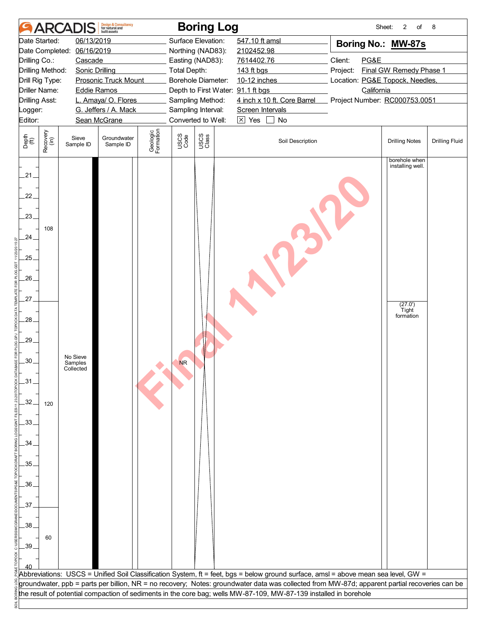|                                              |                      | <b>ARCADIS</b>                   | <b>Design &amp; Consultancy</b><br>for natural and<br>built assets |                       |              | <b>Boring Log</b>                      |                                                                                                                                               | Sheet:                          | 2<br>of                           | 8                     |
|----------------------------------------------|----------------------|----------------------------------|--------------------------------------------------------------------|-----------------------|--------------|----------------------------------------|-----------------------------------------------------------------------------------------------------------------------------------------------|---------------------------------|-----------------------------------|-----------------------|
|                                              | Date Started:        | 06/13/2019                       |                                                                    |                       |              | Surface Elevation:                     | 547.10 ft amsl                                                                                                                                | Boring No.: MW-87s              |                                   |                       |
|                                              | Date Completed:      | 06/16/2019                       |                                                                    |                       |              | Northing (NAD83):                      | 2102452.98                                                                                                                                    |                                 |                                   |                       |
| Drilling Co.:                                |                      | Cascade                          |                                                                    |                       |              | Easting (NAD83):                       | 7614402.76                                                                                                                                    | Client:<br>PG&E                 |                                   |                       |
|                                              | Drilling Method:     | <b>Sonic Drilling</b>            |                                                                    |                       | Total Depth: |                                        | 143 ft bgs                                                                                                                                    | Project:                        | Final GW Remedy Phase 1           |                       |
|                                              | Drill Rig Type:      |                                  | <b>Prosonic Truck Mount</b>                                        |                       |              | Borehole Diameter:                     | 10-12 inches                                                                                                                                  | Location: PG&E Topock, Needles, |                                   |                       |
|                                              | <b>Driller Name:</b> | <b>Eddie Ramos</b>               |                                                                    |                       |              | Depth to First Water: 91.1 ft bgs      | 4 inch x 10 ft. Core Barrel                                                                                                                   | California                      |                                   |                       |
| Drilling Asst:<br>Logger:                    |                      |                                  | L. Amaya/ O. Flores<br>G. Jeffers / A. Mack                        |                       |              | Sampling Method:<br>Sampling Interval: | Screen Intervals                                                                                                                              | Project Number: RC000753.0051   |                                   |                       |
| Editor:                                      |                      |                                  | Sean McGrane                                                       |                       |              | Converted to Well:                     | $\boxed{\times}$ Yes $\boxed{\phantom{1}}$<br>No                                                                                              |                                 |                                   |                       |
|                                              |                      |                                  |                                                                    |                       |              |                                        |                                                                                                                                               |                                 |                                   |                       |
| Depth<br>$\overset{\text{fft}}{(\text{ft})}$ | Recovery<br>(in)     | Sieve<br>Sample ID               | Groundwater<br>Sample ID                                           | Geologic<br>Formation | USCS<br>Code | USCS<br>Class                          | Soil Description                                                                                                                              |                                 | <b>Drilling Notes</b>             | <b>Drilling Fluid</b> |
| $-21$                                        |                      |                                  |                                                                    |                       |              |                                        |                                                                                                                                               |                                 | borehole when<br>installing well. |                       |
| 22.<br>23.                                   | 108                  |                                  |                                                                    |                       |              |                                        |                                                                                                                                               |                                 |                                   |                       |
| .24.                                         |                      |                                  |                                                                    |                       |              |                                        |                                                                                                                                               |                                 |                                   |                       |
| .25.                                         |                      |                                  |                                                                    |                       |              |                                        |                                                                                                                                               |                                 |                                   |                       |
| $.26-$                                       |                      |                                  |                                                                    |                       |              |                                        |                                                                                                                                               |                                 |                                   |                       |
| 27.                                          |                      |                                  |                                                                    |                       |              |                                        |                                                                                                                                               |                                 | (27.0')<br>Tight                  |                       |
| 28.                                          |                      |                                  |                                                                    |                       |              |                                        |                                                                                                                                               |                                 | formation                         |                       |
| $.29-$                                       |                      |                                  |                                                                    |                       |              |                                        |                                                                                                                                               |                                 |                                   |                       |
| .30.                                         |                      | No Sieve<br>Samples<br>Collected |                                                                    |                       | <b>NR</b>    |                                        |                                                                                                                                               |                                 |                                   |                       |
| $-31$                                        |                      |                                  |                                                                    |                       |              |                                        |                                                                                                                                               |                                 |                                   |                       |
| 32.                                          | 120                  |                                  |                                                                    |                       |              |                                        |                                                                                                                                               |                                 |                                   |                       |
| $-33-$                                       |                      |                                  |                                                                    |                       |              |                                        |                                                                                                                                               |                                 |                                   |                       |
| .34.                                         |                      |                                  |                                                                    |                       |              |                                        |                                                                                                                                               |                                 |                                   |                       |
| 35.                                          |                      |                                  |                                                                    |                       |              |                                        |                                                                                                                                               |                                 |                                   |                       |
| .36.                                         |                      |                                  |                                                                    |                       |              |                                        |                                                                                                                                               |                                 |                                   |                       |
| 37 <sub>2</sub>                              |                      |                                  |                                                                    |                       |              |                                        |                                                                                                                                               |                                 |                                   |                       |
| .38                                          |                      |                                  |                                                                    |                       |              |                                        |                                                                                                                                               |                                 |                                   |                       |
| $-39.$                                       | 60                   |                                  |                                                                    |                       |              |                                        |                                                                                                                                               |                                 |                                   |                       |
|                                              |                      |                                  |                                                                    |                       |              |                                        |                                                                                                                                               |                                 |                                   |                       |
|                                              |                      |                                  |                                                                    |                       |              |                                        | Abbreviations: USCS = Unified Soil Classification System, ft = feet, bgs = below ground surface, amsl = above mean sea level, GW =            |                                 |                                   |                       |
|                                              |                      |                                  |                                                                    |                       |              |                                        | groundwater, ppb = parts per billion, NR = no recovery; Notes: groundwater data was collected from MW-87d; apparent partial recoveries can be |                                 |                                   |                       |
|                                              |                      |                                  |                                                                    |                       |              |                                        | the result of potential compaction of sediments in the core bag; wells MW-87-109, MW-87-139 installed in borehole                             |                                 |                                   |                       |
|                                              |                      |                                  |                                                                    |                       |              |                                        |                                                                                                                                               |                                 |                                   |                       |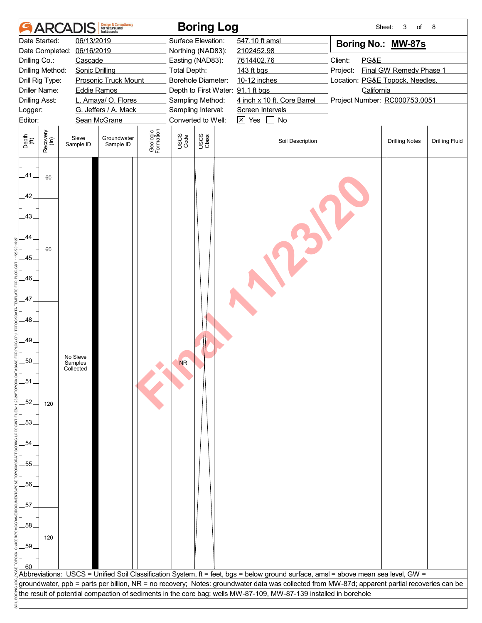|                             |                  | <b>ARCADIS</b>                   | <b>Design &amp; Consultancy</b><br>for natural and<br>huilt assets |                       |              | <b>Boring Log</b>                 |                                                                                                                                               | Sheet:                          | 3<br>of                 | 8                     |
|-----------------------------|------------------|----------------------------------|--------------------------------------------------------------------|-----------------------|--------------|-----------------------------------|-----------------------------------------------------------------------------------------------------------------------------------------------|---------------------------------|-------------------------|-----------------------|
|                             | Date Started:    | 06/13/2019                       |                                                                    |                       |              | Surface Elevation:                | 547.10 ft amsl                                                                                                                                | Boring No.: MW-87s              |                         |                       |
|                             | Date Completed:  | 06/16/2019                       |                                                                    |                       |              | Northing (NAD83):                 | 2102452.98                                                                                                                                    |                                 |                         |                       |
| Drilling Co.:               |                  | Cascade                          |                                                                    |                       |              | Easting (NAD83):                  | 7614402.76                                                                                                                                    | Client:<br>PG&E                 |                         |                       |
| Drilling Method:            |                  | <b>Sonic Drilling</b>            |                                                                    |                       | Total Depth: |                                   | 143 ft bgs                                                                                                                                    | Project:                        | Final GW Remedy Phase 1 |                       |
| Drill Rig Type:             |                  |                                  | <b>Prosonic Truck Mount</b>                                        |                       |              | Borehole Diameter:                | 10-12 inches                                                                                                                                  | Location: PG&E Topock, Needles, |                         |                       |
| Driller Name:               |                  | <b>Eddie Ramos</b>               |                                                                    |                       |              | Depth to First Water: 91.1 ft bgs |                                                                                                                                               | California                      |                         |                       |
| <b>Drilling Asst:</b>       |                  |                                  | L. Amaya/ O. Flores                                                |                       |              | Sampling Method:                  | 4 inch x 10 ft. Core Barrel                                                                                                                   | Project Number: RC000753.0051   |                         |                       |
| _ogger:                     |                  |                                  | G. Jeffers / A. Mack                                               |                       |              | Sampling Interval:                | Screen Intervals                                                                                                                              |                                 |                         |                       |
| Editor:                     |                  |                                  | Sean McGrane                                                       |                       |              | Converted to Well:                | $\times$ Yes $\Box$<br>No                                                                                                                     |                                 |                         |                       |
| Depth<br>$\widetilde{f(t)}$ | Recovery<br>(in) | Sieve<br>Sample ID               | Groundwater<br>Sample ID                                           | Geologic<br>Formation | USCS<br>Code | USCS<br>Class                     | Soil Description                                                                                                                              |                                 | <b>Drilling Notes</b>   | <b>Drilling Fluid</b> |
| .41.<br>42.                 | 60               |                                  |                                                                    |                       |              |                                   |                                                                                                                                               |                                 |                         |                       |
| .43.                        |                  |                                  |                                                                    |                       |              |                                   |                                                                                                                                               |                                 |                         |                       |
| .44.                        |                  |                                  |                                                                    |                       |              |                                   |                                                                                                                                               |                                 |                         |                       |
| .45.                        | 60               |                                  |                                                                    |                       |              |                                   |                                                                                                                                               |                                 |                         |                       |
| $.46-$                      |                  |                                  |                                                                    |                       |              |                                   |                                                                                                                                               |                                 |                         |                       |
| .47.                        |                  |                                  |                                                                    |                       |              |                                   |                                                                                                                                               |                                 |                         |                       |
| .48.                        |                  |                                  |                                                                    |                       |              |                                   |                                                                                                                                               |                                 |                         |                       |
| .49.                        |                  |                                  |                                                                    |                       |              |                                   |                                                                                                                                               |                                 |                         |                       |
| .50.                        |                  | No Sieve<br>Samples<br>Collected |                                                                    |                       | <b>NR</b>    |                                   |                                                                                                                                               |                                 |                         |                       |
| $-51$                       |                  |                                  |                                                                    |                       |              |                                   |                                                                                                                                               |                                 |                         |                       |
| .52.                        | 120              |                                  |                                                                    |                       |              |                                   |                                                                                                                                               |                                 |                         |                       |
| $-53$                       |                  |                                  |                                                                    |                       |              |                                   |                                                                                                                                               |                                 |                         |                       |
| .54.                        |                  |                                  |                                                                    |                       |              |                                   |                                                                                                                                               |                                 |                         |                       |
| 55.                         |                  |                                  |                                                                    |                       |              |                                   |                                                                                                                                               |                                 |                         |                       |
| .56.                        |                  |                                  |                                                                    |                       |              |                                   |                                                                                                                                               |                                 |                         |                       |
| .57                         |                  |                                  |                                                                    |                       |              |                                   |                                                                                                                                               |                                 |                         |                       |
| .58                         |                  |                                  |                                                                    |                       |              |                                   |                                                                                                                                               |                                 |                         |                       |
| $-59.$                      | 120              |                                  |                                                                    |                       |              |                                   |                                                                                                                                               |                                 |                         |                       |
|                             |                  |                                  |                                                                    |                       |              |                                   |                                                                                                                                               |                                 |                         |                       |
| 60                          |                  |                                  |                                                                    |                       |              |                                   |                                                                                                                                               |                                 |                         |                       |
|                             |                  |                                  |                                                                    |                       |              |                                   | Abbreviations: USCS = Unified Soil Classification System, ft = feet, bgs = below ground surface, amsl = above mean sea level, GW =            |                                 |                         |                       |
|                             |                  |                                  |                                                                    |                       |              |                                   | groundwater, ppb = parts per billion, NR = no recovery; Notes: groundwater data was collected from MW-87d; apparent partial recoveries can be |                                 |                         |                       |
|                             |                  |                                  |                                                                    |                       |              |                                   | the result of potential compaction of sediments in the core bag; wells MW-87-109, MW-87-139 installed in borehole                             |                                 |                         |                       |
|                             |                  |                                  |                                                                    |                       |              |                                   |                                                                                                                                               |                                 |                         |                       |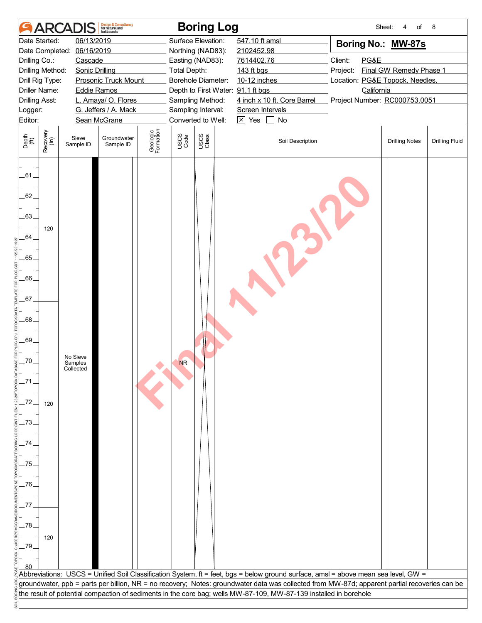|                         |                                         | <b>ARCADIS</b>                   | <b>Design &amp; Consultancy</b><br>for natural and<br>huilt assets |                       |                     | <b>Boring Log</b>                                     |                                                                                                                                                                                                                                                                                     | Sheet:                                      | of<br>4                 | 8                     |
|-------------------------|-----------------------------------------|----------------------------------|--------------------------------------------------------------------|-----------------------|---------------------|-------------------------------------------------------|-------------------------------------------------------------------------------------------------------------------------------------------------------------------------------------------------------------------------------------------------------------------------------------|---------------------------------------------|-------------------------|-----------------------|
|                         | Date Started:                           | 06/13/2019                       |                                                                    |                       |                     | Surface Elevation:                                    | 547.10 ft amsl                                                                                                                                                                                                                                                                      | Boring No.: MW-87s                          |                         |                       |
|                         | Date Completed:                         | 06/16/2019                       |                                                                    |                       |                     | Northing (NAD83):                                     | 2102452.98                                                                                                                                                                                                                                                                          |                                             |                         |                       |
| Drilling Co.:           |                                         | Cascade                          |                                                                    |                       |                     | Easting (NAD83):                                      | 7614402.76                                                                                                                                                                                                                                                                          | Client:<br>PG&E                             |                         |                       |
|                         | Drilling Method:                        | <b>Sonic Drilling</b>            |                                                                    |                       | <b>Total Depth:</b> |                                                       | 143 ft bgs                                                                                                                                                                                                                                                                          | Project:                                    | Final GW Remedy Phase 1 |                       |
|                         | Drill Rig Type:<br><b>Driller Name:</b> |                                  | <b>Prosonic Truck Mount</b>                                        |                       |                     | Borehole Diameter:                                    | 10-12 inches                                                                                                                                                                                                                                                                        | Location: PG&E Topock, Needles,             |                         |                       |
| <b>Drilling Asst:</b>   |                                         | <b>Eddie Ramos</b>               | L. Amaya/ O. Flores                                                |                       |                     | Depth to First Water: 91.1 ft bgs<br>Sampling Method: | 4 inch x 10 ft. Core Barrel                                                                                                                                                                                                                                                         | California<br>Project Number: RC000753.0051 |                         |                       |
| Logger:                 |                                         |                                  | G. Jeffers / A. Mack                                               |                       |                     | Sampling Interval:                                    | Screen Intervals                                                                                                                                                                                                                                                                    |                                             |                         |                       |
| Editor:                 |                                         |                                  | Sean McGrane                                                       |                       |                     | Converted to Well:                                    | $\boxtimes$ Yes<br>No<br>$\vert$                                                                                                                                                                                                                                                    |                                             |                         |                       |
|                         |                                         |                                  |                                                                    |                       |                     |                                                       |                                                                                                                                                                                                                                                                                     |                                             |                         |                       |
| Depth<br>(ft)           | Recovery<br>(in)                        | Sieve<br>Sample ID               | Groundwater<br>Sample ID                                           | Geologic<br>Formation | USCS<br>Code        | USCS<br>Class                                         | Soil Description                                                                                                                                                                                                                                                                    |                                             | <b>Drilling Notes</b>   | <b>Drilling Fluid</b> |
| $-61$<br>62.<br>$-63$ . |                                         |                                  |                                                                    |                       |                     |                                                       |                                                                                                                                                                                                                                                                                     |                                             |                         |                       |
| 64.                     | 120                                     |                                  |                                                                    |                       |                     |                                                       |                                                                                                                                                                                                                                                                                     |                                             |                         |                       |
| $-65$                   |                                         |                                  |                                                                    |                       |                     |                                                       |                                                                                                                                                                                                                                                                                     |                                             |                         |                       |
| .66                     |                                         |                                  |                                                                    |                       |                     |                                                       |                                                                                                                                                                                                                                                                                     |                                             |                         |                       |
| .67.                    |                                         |                                  |                                                                    |                       |                     |                                                       |                                                                                                                                                                                                                                                                                     |                                             |                         |                       |
| 68.                     |                                         |                                  |                                                                    |                       |                     |                                                       |                                                                                                                                                                                                                                                                                     |                                             |                         |                       |
| .69.                    |                                         |                                  |                                                                    |                       |                     |                                                       |                                                                                                                                                                                                                                                                                     |                                             |                         |                       |
| -70.                    |                                         | No Sieve<br>Samples<br>Collected |                                                                    |                       | <b>NR</b>           |                                                       |                                                                                                                                                                                                                                                                                     |                                             |                         |                       |
|                         |                                         |                                  |                                                                    |                       |                     |                                                       |                                                                                                                                                                                                                                                                                     |                                             |                         |                       |
| -72.                    | 120                                     |                                  |                                                                    |                       |                     |                                                       |                                                                                                                                                                                                                                                                                     |                                             |                         |                       |
| .73                     |                                         |                                  |                                                                    |                       |                     |                                                       |                                                                                                                                                                                                                                                                                     |                                             |                         |                       |
| 74                      |                                         |                                  |                                                                    |                       |                     |                                                       |                                                                                                                                                                                                                                                                                     |                                             |                         |                       |
| 75.                     |                                         |                                  |                                                                    |                       |                     |                                                       |                                                                                                                                                                                                                                                                                     |                                             |                         |                       |
| .76.                    |                                         |                                  |                                                                    |                       |                     |                                                       |                                                                                                                                                                                                                                                                                     |                                             |                         |                       |
| 77                      |                                         |                                  |                                                                    |                       |                     |                                                       |                                                                                                                                                                                                                                                                                     |                                             |                         |                       |
| 278                     |                                         |                                  |                                                                    |                       |                     |                                                       |                                                                                                                                                                                                                                                                                     |                                             |                         |                       |
| _79                     | 120                                     |                                  |                                                                    |                       |                     |                                                       |                                                                                                                                                                                                                                                                                     |                                             |                         |                       |
|                         |                                         |                                  |                                                                    |                       |                     |                                                       |                                                                                                                                                                                                                                                                                     |                                             |                         |                       |
|                         |                                         |                                  |                                                                    |                       |                     |                                                       |                                                                                                                                                                                                                                                                                     |                                             |                         |                       |
|                         |                                         |                                  |                                                                    |                       |                     |                                                       | Abbreviations: USCS = Unified Soil Classification System, ft = feet, bgs = below ground surface, amsl = above mean sea level, GW =<br>groundwater, ppb = parts per billion, NR = no recovery; Notes: groundwater data was collected from MW-87d; apparent partial recoveries can be |                                             |                         |                       |
|                         |                                         |                                  |                                                                    |                       |                     |                                                       | the result of potential compaction of sediments in the core bag; wells MW-87-109, MW-87-139 installed in borehole                                                                                                                                                                   |                                             |                         |                       |
|                         |                                         |                                  |                                                                    |                       |                     |                                                       |                                                                                                                                                                                                                                                                                     |                                             |                         |                       |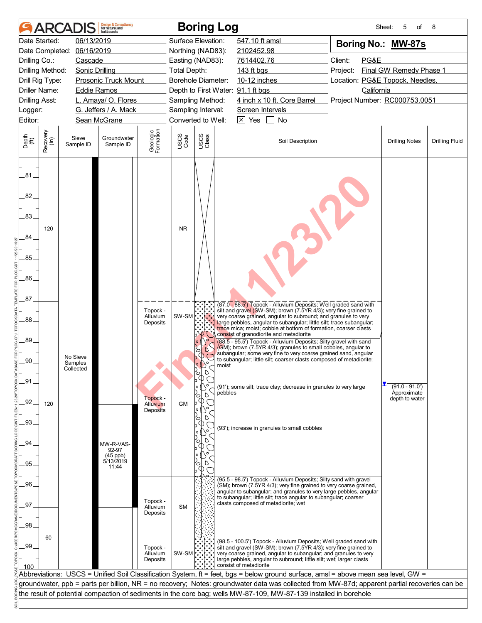|                                                  | <b>ARCA</b>      |                                  | <b>Design &amp; Consultancy</b><br>for natural and<br>huilt assets |                                  |                           |               | <b>Boring Log</b>                                                                                                                                                                                                                                                                                                                                                                             | Sheet:                          | of<br>5                                           | 8                     |
|--------------------------------------------------|------------------|----------------------------------|--------------------------------------------------------------------|----------------------------------|---------------------------|---------------|-----------------------------------------------------------------------------------------------------------------------------------------------------------------------------------------------------------------------------------------------------------------------------------------------------------------------------------------------------------------------------------------------|---------------------------------|---------------------------------------------------|-----------------------|
|                                                  | Date Started:    | 06/13/2019                       |                                                                    |                                  | Surface Elevation:        |               | 547.10 ft amsl                                                                                                                                                                                                                                                                                                                                                                                | Boring No.: MW-87s              |                                                   |                       |
| Date Completed:                                  |                  | 06/16/2019                       |                                                                    |                                  | Northing (NAD83):         |               | 2102452.98                                                                                                                                                                                                                                                                                                                                                                                    |                                 |                                                   |                       |
| Drilling Co.:                                    |                  | Cascade                          |                                                                    |                                  | Easting (NAD83):          |               | 7614402.76                                                                                                                                                                                                                                                                                                                                                                                    | Client:<br>PG&E                 |                                                   |                       |
| Drilling Method:                                 |                  | <b>Sonic Drilling</b>            |                                                                    |                                  | <b>Total Depth:</b>       |               | 143 ft bgs                                                                                                                                                                                                                                                                                                                                                                                    | Project:                        | Final GW Remedy Phase 1                           |                       |
| Drill Rig Type:                                  |                  |                                  | <b>Prosonic Truck Mount</b>                                        |                                  | <b>Borehole Diameter:</b> |               | 10-12 inches                                                                                                                                                                                                                                                                                                                                                                                  | Location: PG&E Topock, Needles, |                                                   |                       |
| Driller Name:                                    |                  | <b>Eddie Ramos</b>               |                                                                    |                                  |                           |               | Depth to First Water: 91.1 ft bgs                                                                                                                                                                                                                                                                                                                                                             | California                      |                                                   |                       |
| <b>Drilling Asst:</b>                            |                  |                                  | L. Amaya/ O. Flores                                                |                                  | Sampling Method:          |               | 4 inch x 10 ft. Core Barrel                                                                                                                                                                                                                                                                                                                                                                   | Project Number: RC000753.0051   |                                                   |                       |
| Logger:                                          |                  |                                  | G. Jeffers / A. Mack                                               |                                  | Sampling Interval:        |               | Screen Intervals                                                                                                                                                                                                                                                                                                                                                                              |                                 |                                                   |                       |
| Editor:                                          |                  |                                  | Sean McGrane                                                       |                                  | Converted to Well:        |               | $\boxtimes$ Yes<br>$\mathbf{L}$<br>No                                                                                                                                                                                                                                                                                                                                                         |                                 |                                                   |                       |
| Depth<br>$\widetilde{f(t)}$                      | Recovery<br>(in) | Sieve<br>Sample ID               | Groundwater<br>Sample ID                                           | Geologic<br>Formation            | USCS<br>Code              | USCS<br>Class | Soil Description                                                                                                                                                                                                                                                                                                                                                                              |                                 | <b>Drilling Notes</b>                             | <b>Drilling Fluid</b> |
| .81<br>82.<br>.83.<br>84<br>.85.<br>.86.<br>.87. | 120              |                                  |                                                                    |                                  | <b>NR</b>                 |               |                                                                                                                                                                                                                                                                                                                                                                                               |                                 |                                                   |                       |
| .88                                              |                  |                                  |                                                                    | Topock -<br>Alluvium<br>Deposits | SW-SM <sup> </sup> ∵      |               | (87.0 - 88.5') Topock - Alluvium Deposits; Well graded sand with<br>silt and gravel (SW-SM); brown (7.5YR 4/3); very fine grained to<br>very coarse grained, angular to subround; and granules to very<br>large pebbles, angular to subangular; little silt; trace subangular;<br>trace mica; moist; cobble at bottom of formation, coarser clasts<br>consist of granodiorite and metadiorite |                                 |                                                   |                       |
| 89.<br>.90.                                      |                  | No Sieve<br>Samples<br>Collected |                                                                    |                                  |                           | O<br>′ा<br>⋔  | (88.5 - 95.5') Topock - Alluvium Deposits; Silty gravel with sand<br>(GM); brown (7.5YR 4/3); granules to small cobbles, angular to<br>subangular; some very fine to very coarse grained sand, angular<br>to subangular; little silt; coarser clasts composed of metadiorite;<br>moist                                                                                                        |                                 |                                                   |                       |
| .91<br>92                                        |                  |                                  |                                                                    | Topock -                         |                           | Ø<br>$\circ$  | (91'); some silt; trace clay; decrease in granules to very large<br>pebbles                                                                                                                                                                                                                                                                                                                   |                                 | $(91.0 - 91.0')$<br>Approximate<br>depth to water |                       |
|                                                  | 120              |                                  |                                                                    | Alluvium<br><b>Deposits</b>      | <b>GM</b>                 | ۰<br>U.<br>°  |                                                                                                                                                                                                                                                                                                                                                                                               |                                 |                                                   |                       |
| .93.                                             |                  |                                  |                                                                    |                                  |                           | $\circ$<br>О  | (93'); increase in granules to small cobbles                                                                                                                                                                                                                                                                                                                                                  |                                 |                                                   |                       |
| .94                                              |                  |                                  | MW-R-VAS-<br>92-97                                                 |                                  |                           | O)            |                                                                                                                                                                                                                                                                                                                                                                                               |                                 |                                                   |                       |
|                                                  |                  |                                  | $(45$ ppb)<br>5/13/2019                                            |                                  |                           |               |                                                                                                                                                                                                                                                                                                                                                                                               |                                 |                                                   |                       |
| 95.                                              |                  |                                  | 11:44                                                              |                                  |                           | C             |                                                                                                                                                                                                                                                                                                                                                                                               |                                 |                                                   |                       |
|                                                  |                  |                                  |                                                                    |                                  |                           |               | (95.5 - 98.5') Topock - Alluvium Deposits; Silty sand with gravel                                                                                                                                                                                                                                                                                                                             |                                 |                                                   |                       |
| .96.                                             |                  |                                  |                                                                    |                                  |                           |               | (SM); brown (7.5YR 4/3); very fine grained to very coarse grained,<br>angular to subangular; and granules to very large pebbles, angular                                                                                                                                                                                                                                                      |                                 |                                                   |                       |
|                                                  |                  |                                  |                                                                    | Topock -                         |                           |               | to subangular; little silt; trace angular to subangular; coarser<br>clasts composed of metadiorite; wet                                                                                                                                                                                                                                                                                       |                                 |                                                   |                       |
| 97                                               |                  |                                  |                                                                    | Alluvium<br>Deposits             | <b>SM</b>                 |               |                                                                                                                                                                                                                                                                                                                                                                                               |                                 |                                                   |                       |
|                                                  |                  |                                  |                                                                    |                                  |                           |               |                                                                                                                                                                                                                                                                                                                                                                                               |                                 |                                                   |                       |
| .98                                              |                  |                                  |                                                                    |                                  |                           |               |                                                                                                                                                                                                                                                                                                                                                                                               |                                 |                                                   |                       |
| .99                                              | 60               |                                  |                                                                    | Topock -<br>Alluvium<br>Deposits | SW-SM                     |               | (98.5 - 100.5') Topock - Alluvium Deposits; Well graded sand with<br>silt and gravel (SW-SM); brown (7.5YR 4/3); very fine grained to<br>very coarse grained, angular to subangular; and granules to very<br>large pebbles, angular to subround; little silt; wet; larger clasts                                                                                                              |                                 |                                                   |                       |
| 100                                              |                  |                                  |                                                                    |                                  |                           |               | consist of metadiorite                                                                                                                                                                                                                                                                                                                                                                        |                                 |                                                   |                       |
|                                                  |                  |                                  |                                                                    |                                  |                           |               | Abbreviations: USCS = Unified Soil Classification System, ft = feet, bgs = below ground surface, amsl = above mean sea level, GW =                                                                                                                                                                                                                                                            |                                 |                                                   |                       |
|                                                  |                  |                                  |                                                                    |                                  |                           |               | groundwater, ppb = parts per billion, NR = no recovery; Notes: groundwater data was collected from MW-87d; apparent partial recoveries can be                                                                                                                                                                                                                                                 |                                 |                                                   |                       |
|                                                  |                  |                                  |                                                                    |                                  |                           |               | the result of potential compaction of sediments in the core bag; wells MW-87-109, MW-87-139 installed in borehole                                                                                                                                                                                                                                                                             |                                 |                                                   |                       |
|                                                  |                  |                                  |                                                                    |                                  |                           |               |                                                                                                                                                                                                                                                                                                                                                                                               |                                 |                                                   |                       |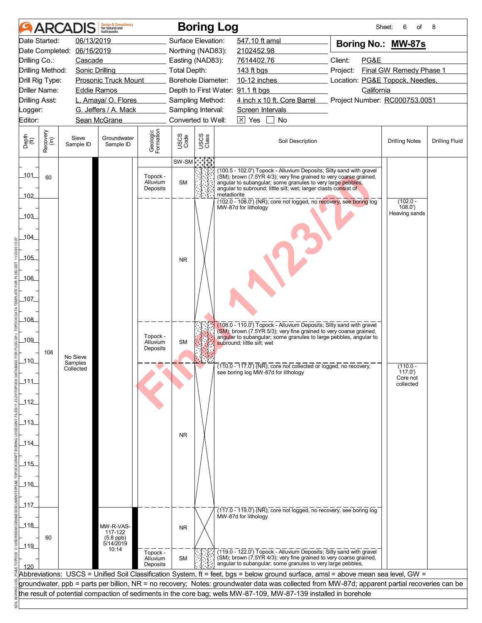| Date Started:<br>06/13/2019<br>Surface Elevation:<br>547.10 ft amsl<br>Boring No.: MW-87s<br>06/16/2019<br>Date Completed:<br>Northing (NAD83):<br>2102452.98<br>Client:<br>PG&E<br>Drilling Co.:<br>Cascade<br>Easting (NAD83):<br>7614402.76<br>Final GW Remedy Phase 1<br>Drilling Method:<br><b>Sonic Drilling</b><br><b>Total Depth:</b><br>143 ft bgs<br>Project:<br><b>Borehole Diameter:</b><br>10-12 inches<br>Location: PG&E Topock, Needles,<br>Drill Rig Type:<br><b>Prosonic Truck Mount</b><br>Driller Name:<br><b>Eddie Ramos</b><br>Depth to First Water: 91.1 ft bgs<br>California<br>4 inch x 10 ft. Core Barrel<br><b>Drilling Asst:</b><br>L. Amaya/ O. Flores<br>Sampling Method:<br>Project Number: RC000753.0051<br>G. Jeffers / A. Mack<br>Sampling Interval:<br>Screen Intervals<br>Logger:<br>Converted to Well:<br>$\boxed{\times}$ Yes<br>Editor:<br>Sean McGrane<br>$\mathbf{L}$<br>No<br>Geologic<br>Formation<br>Recovery<br>(in)<br>USCS<br>Code<br>USCS<br>Class<br>Depth<br>(ft)<br>Sieve<br>Groundwater<br>Soil Description<br><b>Drilling Notes</b><br>Sample ID<br>Sample ID<br>$\mathbb{C}$<br>SW-SM<br>(100.5 - 102.0') Topock - Alluvium Deposits; Silty sand with gravel<br>$-101$<br>Topock -<br>(SM); brown (7.5YR 4/3); very fine grained to very coarse grained,<br>60<br>Alluvium<br><b>SM</b><br>angular to subangular; some granules to very large pebbles,<br>angular to subround; little silt; wet; larger clasts consist of<br>Deposits<br>metadiorite<br>102<br>$(102.0 - 108.0)$ (NR); core not logged, no recovery, see boring log<br>$(102.0 -$<br>108.0'<br>MW-87d for lithology<br>Heaving sands<br>103<br>104_<br>105<br><b>NR</b><br>_106_<br>107 | <b>Drilling Fluid</b> |
|--------------------------------------------------------------------------------------------------------------------------------------------------------------------------------------------------------------------------------------------------------------------------------------------------------------------------------------------------------------------------------------------------------------------------------------------------------------------------------------------------------------------------------------------------------------------------------------------------------------------------------------------------------------------------------------------------------------------------------------------------------------------------------------------------------------------------------------------------------------------------------------------------------------------------------------------------------------------------------------------------------------------------------------------------------------------------------------------------------------------------------------------------------------------------------------------------------------------------------------------------------------------------------------------------------------------------------------------------------------------------------------------------------------------------------------------------------------------------------------------------------------------------------------------------------------------------------------------------------------------------------------------------------------------------------------------------------------|-----------------------|
|                                                                                                                                                                                                                                                                                                                                                                                                                                                                                                                                                                                                                                                                                                                                                                                                                                                                                                                                                                                                                                                                                                                                                                                                                                                                                                                                                                                                                                                                                                                                                                                                                                                                                                              |                       |
|                                                                                                                                                                                                                                                                                                                                                                                                                                                                                                                                                                                                                                                                                                                                                                                                                                                                                                                                                                                                                                                                                                                                                                                                                                                                                                                                                                                                                                                                                                                                                                                                                                                                                                              |                       |
|                                                                                                                                                                                                                                                                                                                                                                                                                                                                                                                                                                                                                                                                                                                                                                                                                                                                                                                                                                                                                                                                                                                                                                                                                                                                                                                                                                                                                                                                                                                                                                                                                                                                                                              |                       |
|                                                                                                                                                                                                                                                                                                                                                                                                                                                                                                                                                                                                                                                                                                                                                                                                                                                                                                                                                                                                                                                                                                                                                                                                                                                                                                                                                                                                                                                                                                                                                                                                                                                                                                              |                       |
|                                                                                                                                                                                                                                                                                                                                                                                                                                                                                                                                                                                                                                                                                                                                                                                                                                                                                                                                                                                                                                                                                                                                                                                                                                                                                                                                                                                                                                                                                                                                                                                                                                                                                                              |                       |
|                                                                                                                                                                                                                                                                                                                                                                                                                                                                                                                                                                                                                                                                                                                                                                                                                                                                                                                                                                                                                                                                                                                                                                                                                                                                                                                                                                                                                                                                                                                                                                                                                                                                                                              |                       |
|                                                                                                                                                                                                                                                                                                                                                                                                                                                                                                                                                                                                                                                                                                                                                                                                                                                                                                                                                                                                                                                                                                                                                                                                                                                                                                                                                                                                                                                                                                                                                                                                                                                                                                              |                       |
|                                                                                                                                                                                                                                                                                                                                                                                                                                                                                                                                                                                                                                                                                                                                                                                                                                                                                                                                                                                                                                                                                                                                                                                                                                                                                                                                                                                                                                                                                                                                                                                                                                                                                                              |                       |
|                                                                                                                                                                                                                                                                                                                                                                                                                                                                                                                                                                                                                                                                                                                                                                                                                                                                                                                                                                                                                                                                                                                                                                                                                                                                                                                                                                                                                                                                                                                                                                                                                                                                                                              |                       |
|                                                                                                                                                                                                                                                                                                                                                                                                                                                                                                                                                                                                                                                                                                                                                                                                                                                                                                                                                                                                                                                                                                                                                                                                                                                                                                                                                                                                                                                                                                                                                                                                                                                                                                              |                       |
|                                                                                                                                                                                                                                                                                                                                                                                                                                                                                                                                                                                                                                                                                                                                                                                                                                                                                                                                                                                                                                                                                                                                                                                                                                                                                                                                                                                                                                                                                                                                                                                                                                                                                                              |                       |
|                                                                                                                                                                                                                                                                                                                                                                                                                                                                                                                                                                                                                                                                                                                                                                                                                                                                                                                                                                                                                                                                                                                                                                                                                                                                                                                                                                                                                                                                                                                                                                                                                                                                                                              |                       |
|                                                                                                                                                                                                                                                                                                                                                                                                                                                                                                                                                                                                                                                                                                                                                                                                                                                                                                                                                                                                                                                                                                                                                                                                                                                                                                                                                                                                                                                                                                                                                                                                                                                                                                              |                       |
|                                                                                                                                                                                                                                                                                                                                                                                                                                                                                                                                                                                                                                                                                                                                                                                                                                                                                                                                                                                                                                                                                                                                                                                                                                                                                                                                                                                                                                                                                                                                                                                                                                                                                                              |                       |
|                                                                                                                                                                                                                                                                                                                                                                                                                                                                                                                                                                                                                                                                                                                                                                                                                                                                                                                                                                                                                                                                                                                                                                                                                                                                                                                                                                                                                                                                                                                                                                                                                                                                                                              |                       |
|                                                                                                                                                                                                                                                                                                                                                                                                                                                                                                                                                                                                                                                                                                                                                                                                                                                                                                                                                                                                                                                                                                                                                                                                                                                                                                                                                                                                                                                                                                                                                                                                                                                                                                              |                       |
|                                                                                                                                                                                                                                                                                                                                                                                                                                                                                                                                                                                                                                                                                                                                                                                                                                                                                                                                                                                                                                                                                                                                                                                                                                                                                                                                                                                                                                                                                                                                                                                                                                                                                                              |                       |
|                                                                                                                                                                                                                                                                                                                                                                                                                                                                                                                                                                                                                                                                                                                                                                                                                                                                                                                                                                                                                                                                                                                                                                                                                                                                                                                                                                                                                                                                                                                                                                                                                                                                                                              |                       |
|                                                                                                                                                                                                                                                                                                                                                                                                                                                                                                                                                                                                                                                                                                                                                                                                                                                                                                                                                                                                                                                                                                                                                                                                                                                                                                                                                                                                                                                                                                                                                                                                                                                                                                              |                       |
| _108_<br>(108.0 - 110.0') Topock - Alluvium Deposits; Silty sand with gravel<br>(SM); brown (7.5YR 5/3); very fine grained to very coarse grained,                                                                                                                                                                                                                                                                                                                                                                                                                                                                                                                                                                                                                                                                                                                                                                                                                                                                                                                                                                                                                                                                                                                                                                                                                                                                                                                                                                                                                                                                                                                                                           |                       |
| Topock -<br>angular to subangular; some granules to large pebbles, angular to<br>_109_<br><b>SM</b><br>Alluvium<br>subround; little silt; wet                                                                                                                                                                                                                                                                                                                                                                                                                                                                                                                                                                                                                                                                                                                                                                                                                                                                                                                                                                                                                                                                                                                                                                                                                                                                                                                                                                                                                                                                                                                                                                |                       |
| Deposits<br>108<br>No Sieve<br>$-110$                                                                                                                                                                                                                                                                                                                                                                                                                                                                                                                                                                                                                                                                                                                                                                                                                                                                                                                                                                                                                                                                                                                                                                                                                                                                                                                                                                                                                                                                                                                                                                                                                                                                        |                       |
| Samples<br>$(110.0 - 117.0)$ (NR); core not collected or logged, no recovery,<br>$(110.0 -$<br>Collected<br>(117.0)<br>see boring log MW-87d for lithology                                                                                                                                                                                                                                                                                                                                                                                                                                                                                                                                                                                                                                                                                                                                                                                                                                                                                                                                                                                                                                                                                                                                                                                                                                                                                                                                                                                                                                                                                                                                                   |                       |
| Core not<br>$-111$<br>collected                                                                                                                                                                                                                                                                                                                                                                                                                                                                                                                                                                                                                                                                                                                                                                                                                                                                                                                                                                                                                                                                                                                                                                                                                                                                                                                                                                                                                                                                                                                                                                                                                                                                              |                       |
| $112$                                                                                                                                                                                                                                                                                                                                                                                                                                                                                                                                                                                                                                                                                                                                                                                                                                                                                                                                                                                                                                                                                                                                                                                                                                                                                                                                                                                                                                                                                                                                                                                                                                                                                                        |                       |
| $\_113$                                                                                                                                                                                                                                                                                                                                                                                                                                                                                                                                                                                                                                                                                                                                                                                                                                                                                                                                                                                                                                                                                                                                                                                                                                                                                                                                                                                                                                                                                                                                                                                                                                                                                                      |                       |
| <b>NR</b><br>_114_                                                                                                                                                                                                                                                                                                                                                                                                                                                                                                                                                                                                                                                                                                                                                                                                                                                                                                                                                                                                                                                                                                                                                                                                                                                                                                                                                                                                                                                                                                                                                                                                                                                                                           |                       |
|                                                                                                                                                                                                                                                                                                                                                                                                                                                                                                                                                                                                                                                                                                                                                                                                                                                                                                                                                                                                                                                                                                                                                                                                                                                                                                                                                                                                                                                                                                                                                                                                                                                                                                              |                       |
| $-115$                                                                                                                                                                                                                                                                                                                                                                                                                                                                                                                                                                                                                                                                                                                                                                                                                                                                                                                                                                                                                                                                                                                                                                                                                                                                                                                                                                                                                                                                                                                                                                                                                                                                                                       |                       |
|                                                                                                                                                                                                                                                                                                                                                                                                                                                                                                                                                                                                                                                                                                                                                                                                                                                                                                                                                                                                                                                                                                                                                                                                                                                                                                                                                                                                                                                                                                                                                                                                                                                                                                              |                       |
| $-116$                                                                                                                                                                                                                                                                                                                                                                                                                                                                                                                                                                                                                                                                                                                                                                                                                                                                                                                                                                                                                                                                                                                                                                                                                                                                                                                                                                                                                                                                                                                                                                                                                                                                                                       |                       |
|                                                                                                                                                                                                                                                                                                                                                                                                                                                                                                                                                                                                                                                                                                                                                                                                                                                                                                                                                                                                                                                                                                                                                                                                                                                                                                                                                                                                                                                                                                                                                                                                                                                                                                              |                       |
| _117_<br>$(117.0 - 119.0)$ (NR); core not logged, no recovery, see boring log                                                                                                                                                                                                                                                                                                                                                                                                                                                                                                                                                                                                                                                                                                                                                                                                                                                                                                                                                                                                                                                                                                                                                                                                                                                                                                                                                                                                                                                                                                                                                                                                                                |                       |
| MW-87d for lithology                                                                                                                                                                                                                                                                                                                                                                                                                                                                                                                                                                                                                                                                                                                                                                                                                                                                                                                                                                                                                                                                                                                                                                                                                                                                                                                                                                                                                                                                                                                                                                                                                                                                                         |                       |
| 118<br>MW-R-VAS-<br><b>NR</b><br>117-122                                                                                                                                                                                                                                                                                                                                                                                                                                                                                                                                                                                                                                                                                                                                                                                                                                                                                                                                                                                                                                                                                                                                                                                                                                                                                                                                                                                                                                                                                                                                                                                                                                                                     |                       |
| 60<br>(5.8 ppb)<br>5/14/2019                                                                                                                                                                                                                                                                                                                                                                                                                                                                                                                                                                                                                                                                                                                                                                                                                                                                                                                                                                                                                                                                                                                                                                                                                                                                                                                                                                                                                                                                                                                                                                                                                                                                                 |                       |
| $-119$<br>10:14<br>(119.0 - 122.0') Topock - Alluvium Deposits; Silty sand with gravel<br>Topock -                                                                                                                                                                                                                                                                                                                                                                                                                                                                                                                                                                                                                                                                                                                                                                                                                                                                                                                                                                                                                                                                                                                                                                                                                                                                                                                                                                                                                                                                                                                                                                                                           |                       |
| (SM); brown (7.5YR 4/3); very fine grained to very coarse grained,<br><b>SM</b><br>Alluvium<br>angular to subangular; some granules to very large pebbles,<br>Deposits<br>120                                                                                                                                                                                                                                                                                                                                                                                                                                                                                                                                                                                                                                                                                                                                                                                                                                                                                                                                                                                                                                                                                                                                                                                                                                                                                                                                                                                                                                                                                                                                |                       |
| Abbreviations: USCS = Unified Soil Classification System, ft = feet, bgs = below ground surface, amsl = above mean sea level, GW =                                                                                                                                                                                                                                                                                                                                                                                                                                                                                                                                                                                                                                                                                                                                                                                                                                                                                                                                                                                                                                                                                                                                                                                                                                                                                                                                                                                                                                                                                                                                                                           |                       |
| groundwater, ppb = parts per billion, NR = no recovery; Notes: groundwater data was collected from MW-87d; apparent partial recoveries can be                                                                                                                                                                                                                                                                                                                                                                                                                                                                                                                                                                                                                                                                                                                                                                                                                                                                                                                                                                                                                                                                                                                                                                                                                                                                                                                                                                                                                                                                                                                                                                |                       |
| the result of potential compaction of sediments in the core bag; wells MW-87-109, MW-87-139 installed in borehole                                                                                                                                                                                                                                                                                                                                                                                                                                                                                                                                                                                                                                                                                                                                                                                                                                                                                                                                                                                                                                                                                                                                                                                                                                                                                                                                                                                                                                                                                                                                                                                            |                       |
|                                                                                                                                                                                                                                                                                                                                                                                                                                                                                                                                                                                                                                                                                                                                                                                                                                                                                                                                                                                                                                                                                                                                                                                                                                                                                                                                                                                                                                                                                                                                                                                                                                                                                                              |                       |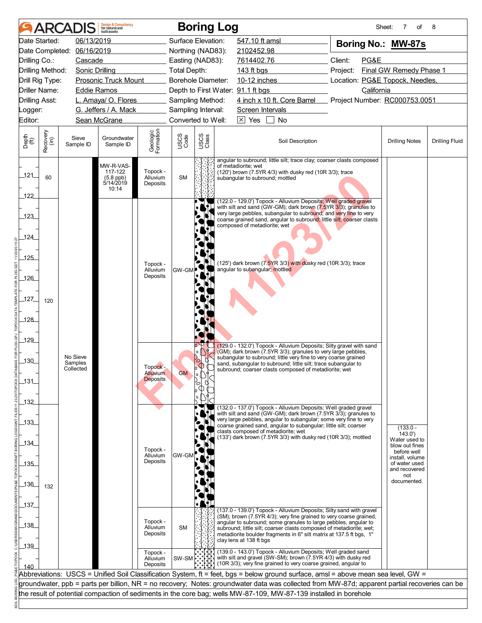|                       |                  | <b>ARCADIS</b>        | <b>Design &amp; Consultancy</b><br>for natural and<br>huilt assets |                                    |                     | <b>Boring Log</b>               |                                                                                                                                                                                                                                                                                                                                                                                       |          | Sheet:     | 7<br>of                          | 8                     |
|-----------------------|------------------|-----------------------|--------------------------------------------------------------------|------------------------------------|---------------------|---------------------------------|---------------------------------------------------------------------------------------------------------------------------------------------------------------------------------------------------------------------------------------------------------------------------------------------------------------------------------------------------------------------------------------|----------|------------|----------------------------------|-----------------------|
| Date Started:         |                  | 06/13/2019            |                                                                    |                                    | Surface Elevation:  |                                 | 547.10 ft amsl                                                                                                                                                                                                                                                                                                                                                                        |          |            | Boring No.: MW-87s               |                       |
| Date Completed:       |                  | 06/16/2019            |                                                                    |                                    | Northing (NAD83):   |                                 | 2102452.98                                                                                                                                                                                                                                                                                                                                                                            |          |            |                                  |                       |
| Drilling Co.:         |                  | Cascade               |                                                                    |                                    | Easting (NAD83):    |                                 | 7614402.76                                                                                                                                                                                                                                                                                                                                                                            | Client:  | PG&E       |                                  |                       |
| Drilling Method:      |                  | <b>Sonic Drilling</b> |                                                                    |                                    | <b>Total Depth:</b> |                                 | 143 ft bgs                                                                                                                                                                                                                                                                                                                                                                            | Project: |            | Final GW Remedy Phase 1          |                       |
| Drill Rig Type:       |                  |                       | <b>Prosonic Truck Mount</b>                                        |                                    | Borehole Diameter:  |                                 | 10-12 inches                                                                                                                                                                                                                                                                                                                                                                          |          |            | Location: PG&E Topock, Needles,  |                       |
| <b>Driller Name:</b>  |                  | <b>Eddie Ramos</b>    |                                                                    |                                    |                     |                                 | Depth to First Water: 91.1 ft bgs                                                                                                                                                                                                                                                                                                                                                     |          | California |                                  |                       |
| <b>Drilling Asst:</b> |                  |                       | L. Amaya/ O. Flores                                                |                                    | Sampling Method:    |                                 | 4 inch x 10 ft. Core Barrel                                                                                                                                                                                                                                                                                                                                                           |          |            | Project Number: RC000753.0051    |                       |
| Logger:               |                  |                       | G. Jeffers / A. Mack                                               |                                    | Sampling Interval:  |                                 | Screen Intervals                                                                                                                                                                                                                                                                                                                                                                      |          |            |                                  |                       |
| Editor:               |                  |                       | Sean McGrane                                                       |                                    | Converted to Well:  |                                 | $\boxed{\times}$ Yes<br>$\mathbf{L}$<br>No                                                                                                                                                                                                                                                                                                                                            |          |            |                                  |                       |
| Depth<br>(ft)         | Recovery<br>(in) | Sieve<br>Sample ID    | Groundwater<br>Sample ID                                           | Geologic<br>Formation              | USCS<br>Code        | USCS<br>Class                   | Soil Description                                                                                                                                                                                                                                                                                                                                                                      |          |            | <b>Drilling Notes</b>            | <b>Drilling Fluid</b> |
| 121<br>122            | 60               |                       | MW-R-VAS-<br>117-122<br>$(5.8$ ppb)<br>5/14/2019<br>10:14          | Topock -<br>Alluvium<br>Deposits   | <b>SM</b>           |                                 | angular to subround; little silt; trace clay; coarser clasts composed<br>of metadiorite; wet<br>(120') brown (7.5YR 4/3) with dusky red (10R 3/3); trace<br>subangular to subround; mottled                                                                                                                                                                                           |          |            |                                  |                       |
| 123<br>124            |                  |                       |                                                                    |                                    |                     |                                 | (122.0 - 129.0') Topock - Alluvium Deposits; Well graded gravel<br>with silt and sand (GW-GM); dark brown (7.5YR 3/3); granules to<br>very large pebbles, subangular to subround; and very fine to very<br>coarse grained sand, angular to subround; little silt; coarser clasts<br>composed of metadiorite; wet                                                                      |          |            |                                  |                       |
| $-125$                |                  |                       |                                                                    | Topock -                           |                     |                                 | (125') dark brown (7.5YR 3/3) with dusky red (10R 3/3); trace                                                                                                                                                                                                                                                                                                                         |          |            |                                  |                       |
|                       |                  |                       |                                                                    | Alluvium                           | GW-GM               |                                 | angular to subangular; mottled                                                                                                                                                                                                                                                                                                                                                        |          |            |                                  |                       |
| _126_                 |                  |                       |                                                                    | Deposits                           |                     |                                 |                                                                                                                                                                                                                                                                                                                                                                                       |          |            |                                  |                       |
| $-127$                | 120              |                       |                                                                    |                                    |                     |                                 |                                                                                                                                                                                                                                                                                                                                                                                       |          |            |                                  |                       |
| _128_                 |                  |                       |                                                                    |                                    |                     |                                 |                                                                                                                                                                                                                                                                                                                                                                                       |          |            |                                  |                       |
| 129                   |                  |                       |                                                                    |                                    |                     |                                 | (129.0 - 132.0') Topock - Alluvium Deposits; Silty gravel with sand                                                                                                                                                                                                                                                                                                                   |          |            |                                  |                       |
| $\overline{130}$      |                  | No Sieve              |                                                                    |                                    |                     | $\bullet$<br>$\frac{1}{\sigma}$ | (GM); dark brown (7.5YR 3/3); granules to very large pebbles,<br>subangular to subround; little very fine to very coarse grained                                                                                                                                                                                                                                                      |          |            |                                  |                       |
|                       |                  | Samples<br>Collected  |                                                                    | Topock -                           |                     | $\Phi$                          | sand, subangular to subround; little silt; trace subangular to<br>subround; coarser clasts composed of metadiorite; wet                                                                                                                                                                                                                                                               |          |            |                                  |                       |
| 131                   |                  |                       |                                                                    | <b>Alluvium</b><br><b>Deposits</b> | <b>GM</b>           | $\circ$                         |                                                                                                                                                                                                                                                                                                                                                                                       |          |            |                                  |                       |
|                       |                  |                       |                                                                    |                                    |                     |                                 |                                                                                                                                                                                                                                                                                                                                                                                       |          |            |                                  |                       |
| $-132$                |                  |                       |                                                                    |                                    |                     |                                 |                                                                                                                                                                                                                                                                                                                                                                                       |          |            |                                  |                       |
|                       |                  |                       |                                                                    |                                    |                     |                                 | (132.0 - 137.0') Topock - Alluvium Deposits; Well graded gravel<br>with silt and sand (GW-GM); dark brown (7.5YR 3/3); granules to<br>very large pebbles, angular to subangular; some very fine to very                                                                                                                                                                               |          |            |                                  |                       |
| _133_                 |                  |                       |                                                                    |                                    |                     |                                 | coarse grained sand, angular to subangular; little silt; coarser<br>clasts composed of metadiorite; wet                                                                                                                                                                                                                                                                               |          |            | $(133.0 -$                       |                       |
| _134_                 |                  |                       |                                                                    |                                    |                     |                                 | (133') dark brown (7.5YR 3/3) with dusky red (10R 3/3); mottled                                                                                                                                                                                                                                                                                                                       |          |            | 143.0'<br>Water used to          |                       |
|                       |                  |                       |                                                                    | Topock -                           |                     |                                 |                                                                                                                                                                                                                                                                                                                                                                                       |          |            | blow out fines<br>before well    |                       |
| _135_                 |                  |                       |                                                                    | Alluvium<br>Deposits               | <b>GW-GM</b>        |                                 |                                                                                                                                                                                                                                                                                                                                                                                       |          |            | install, volume<br>of water used |                       |
|                       |                  |                       |                                                                    |                                    |                     |                                 |                                                                                                                                                                                                                                                                                                                                                                                       |          |            | and recovered                    |                       |
| $-136$                |                  |                       |                                                                    |                                    |                     |                                 |                                                                                                                                                                                                                                                                                                                                                                                       |          |            | not<br>documented.               |                       |
|                       | 132              |                       |                                                                    |                                    |                     |                                 |                                                                                                                                                                                                                                                                                                                                                                                       |          |            |                                  |                       |
| 137                   |                  |                       |                                                                    |                                    |                     |                                 |                                                                                                                                                                                                                                                                                                                                                                                       |          |            |                                  |                       |
| 138<br>$-139$         |                  |                       |                                                                    | Topock -<br>Alluvium<br>Deposits   | <b>SM</b>           |                                 | (137.0 - 139.0') Topock - Alluvium Deposits; Silty sand with gravel<br>(SM); brown (7.5YR 4/3); very fine grained to very coarse grained,<br>angular to subround; some granules to large pebbles, angular to<br>subround; little silt; coarser clasts composed of metadiorite; wet;<br>metadiorite boulder fragments in 6" silt matrix at 137.5 ft bgs, 1"<br>clay lens at 138 ft bgs |          |            |                                  |                       |
| 140                   |                  |                       |                                                                    | Topock -<br>Alluvium<br>Deposits   | SW-SM               |                                 | (139.0 - 143.0') Topock - Alluvium Deposits; Well graded sand<br>with silt and gravel (SW-SM); brown (7.5YR 4/3) with dusky red<br>(10R 3/3); very fine grained to very coarse grained, angular to                                                                                                                                                                                    |          |            |                                  |                       |
|                       |                  |                       |                                                                    |                                    |                     |                                 | Abbreviations: USCS = Unified Soil Classification System, ft = feet, bgs = below ground surface, amsl = above mean sea level, GW =                                                                                                                                                                                                                                                    |          |            |                                  |                       |
|                       |                  |                       |                                                                    |                                    |                     |                                 | groundwater, ppb = parts per billion, NR = no recovery; Notes: groundwater data was collected from MW-87d; apparent partial recoveries can be                                                                                                                                                                                                                                         |          |            |                                  |                       |
|                       |                  |                       |                                                                    |                                    |                     |                                 | the result of potential compaction of sediments in the core bag; wells MW-87-109, MW-87-139 installed in borehole                                                                                                                                                                                                                                                                     |          |            |                                  |                       |
|                       |                  |                       |                                                                    |                                    |                     |                                 |                                                                                                                                                                                                                                                                                                                                                                                       |          |            |                                  |                       |